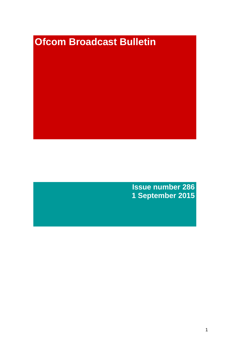# **Ofcom Broadcast Bulletin**

**Issue number 286 1 September 2015**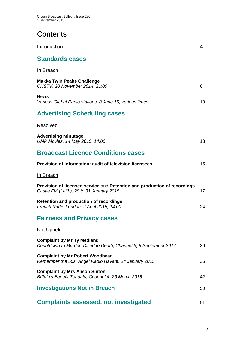# **Contents**

| Introduction                                                                                                         | 4  |
|----------------------------------------------------------------------------------------------------------------------|----|
| <b>Standards cases</b>                                                                                               |    |
| In Breach                                                                                                            |    |
| <b>Makka Twin Peaks Challenge</b><br>CHSTV, 28 November 2014, 21:00                                                  | 6  |
| <b>News</b><br>Various Global Radio stations, 8 June 15, various times                                               | 10 |
| <b>Advertising Scheduling cases</b>                                                                                  |    |
| Resolved                                                                                                             |    |
| <b>Advertising minutage</b><br>UMP Movies, 14 May 2015, 14:00                                                        | 13 |
| <b>Broadcast Licence Conditions cases</b>                                                                            |    |
| Provision of information: audit of television licensees                                                              | 15 |
| In Breach                                                                                                            |    |
| Provision of licensed service and Retention and production of recordings<br>Castle FM (Leith), 29 to 31 January 2015 | 17 |
| <b>Retention and production of recordings</b><br>French Radio London, 2 April 2015, 14:00                            | 24 |
| <b>Fairness and Privacy cases</b>                                                                                    |    |
| <b>Not Upheld</b>                                                                                                    |    |
| <b>Complaint by Mr Ty Medland</b><br>Countdown to Murder: Diced to Death, Channel 5, 8 September 2014                | 26 |
| <b>Complaint by Mr Robert Woodhead</b><br>Remember the 50s, Angel Radio Havant, 24 January 2015                      | 36 |
| <b>Complaint by Mrs Alison Sinton</b><br>Britain's Benefit Tenants, Channel 4, 26 March 2015                         | 42 |
| <b>Investigations Not in Breach</b>                                                                                  | 50 |
| <b>Complaints assessed, not investigated</b>                                                                         | 51 |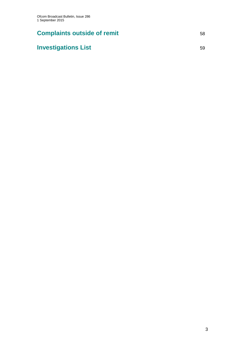# **Complaints outside of remit** 58

# **Investigations List** 59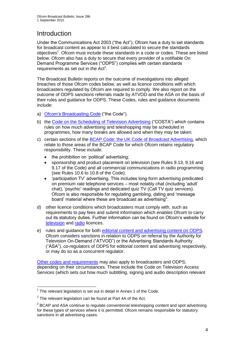# **Introduction**

Under the Communications Act 2003 ("the Act"), Ofcom has a duty to set standards for broadcast content as appear to it best calculated to secure the standards objectives<sup>1</sup>. Ofcom must include these standards in a code or codes. These are listed below. Ofcom also has a duty to secure that every provider of a notifiable On Demand Programme Services ("ODPS") complies with certain standards requirements as set out in the  $Act<sup>2</sup>$ .

The Broadcast Bulletin reports on the outcome of investigations into alleged breaches of those Ofcom codes below, as well as licence conditions with which broadcasters regulated by Ofcom are required to comply. We also report on the outcome of ODPS sanctions referrals made by ATVOD and the ASA on the basis of their rules and guidance for ODPS. These Codes, rules and guidance documents include:

- a) [Ofcom's Broadcasting Code](http://stakeholders.ofcom.org.uk/broadcasting/broadcast-codes/broadcast-code/) ("the Code").
- b) the [Code on the Scheduling of Television Advertising](http://stakeholders.ofcom.org.uk/broadcasting/broadcast-codes/advert-code/) ("COSTA") which contains rules on how much advertising and teleshopping may be scheduled in programmes, how many breaks are allowed and when they may be taken.
- c) certain sections of the [BCAP Code: the UK Code of Broadcast Advertising,](http://www.bcap.org.uk/Advertising-Codes/Broadcast-HTML.aspx) which relate to those areas of the BCAP Code for which Ofcom retains regulatory responsibility. These include:
	- the prohibition on 'political' advertising:
	- sponsorship and product placement on television (see Rules 9.13, 9.16 and 9.17 of the Code) and all commercial communications in radio programming (see Rules 10.6 to 10.8 of the Code);
	- 'participation TV' advertising. This includes long-form advertising predicated on premium rate telephone services – most notably chat (including 'adult' chat), 'psychic' readings and dedicated quiz TV (Call TV quiz services). Ofcom is also responsible for regulating gambling, dating and 'message board' material where these are broadcast as advertising<sup>3</sup>.
- d) other licence conditions which broadcasters must comply with, such as requirements to pay fees and submit information which enables Ofcom to carry out its statutory duties. Further information can be found on Ofcom's website for [television](http://licensing.ofcom.org.uk/tv-broadcast-licences/) and [radio](http://licensing.ofcom.org.uk/radio-broadcast-licensing/) licences.
- e) rules and guidance for both [editorial content and advertising content on ODPS.](http://www.atvod.co.uk/uploads/files/ATVOD_Rules_and_Guidance_Ed_2.0_May_2012.pdf) Ofcom considers sanctions in relation to ODPS on referral by the Authority for Television On-Demand ("ATVOD") or the Advertising Standards Authority ("ASA"), co-regulators of ODPS for editorial content and advertising respectively, or may do so as a concurrent regulator.

[Other codes and requirements](http://stakeholders.ofcom.org.uk/broadcasting/broadcast-codes/) may also apply to broadcasters and ODPS, depending on their circumstances. These include the Code on Television Access Services (which sets out how much subtitling, signing and audio description relevant

<sup>1</sup>  $1$  The relevant legislation is set out in detail in Annex 1 of the Code.

 $2$  The relevant legislation can be found at Part 4A of the Act.

 $3$  BCAP and ASA continue to regulate conventional teleshopping content and spot advertising for these types of services where it is permitted. Ofcom remains responsible for statutory sanctions in all advertising cases.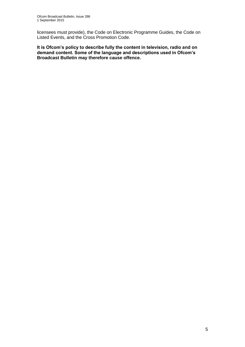licensees must provide), the Code on Electronic Programme Guides, the Code on Listed Events, and the Cross Promotion Code.

**It is Ofcom's policy to describe fully the content in television, radio and on demand content. Some of the language and descriptions used in Ofcom's Broadcast Bulletin may therefore cause offence.**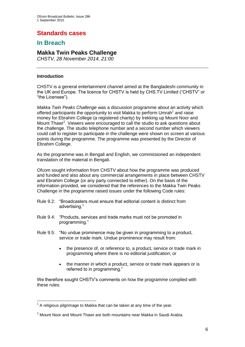# **Standards cases**

## **In Breach**

## **Makka Twin Peaks Challenge**

*CHSTV, 28 November 2014, 21:00* 

#### **Introduction**

CHSTV is a general entertainment channel aimed at the Bangladeshi community in the UK and Europe. The licence for CHSTV is held by CHS.TV Limited ("CHSTV" or "the Licensee").

*Makka Twin Peaks Challenge* was a discussion programme about an activity which offered participants the opportunity to visit Makka to perform Umrah<sup>1</sup> and raise money for Ebrahim College (a registered charity) by trekking up Mount Noor and Mount Thawr<sup>2</sup>. Viewers were encouraged to call the studio to ask questions about the challenge. The studio telephone number and a second number which viewers could call to register to participate in the challenge were shown on screen at various points during the programme. The programme was presented by the Director of Ebrahim College.

As the programme was in Bengali and English, we commissioned an independent translation of the material in Bengali.

Ofcom sought information from CHSTV about how the programme was produced and funded and also about any commercial arrangements in place between CHSTV and Ebrahim College (or any party connected to either). On the basis of the information provided, we considered that the references to the Makka Twin Peaks Challenge in the programme raised issues under the following Code rules:

- Rule 9.2: "Broadcasters must ensure that editorial content is distinct from advertising."
- Rule 9.4: "Products, services and trade marks must not be promoted in programming."
- Rule 9.5: "No undue prominence may be given in programming to a product, service or trade mark. Undue prominence may result from:
	- the presence of, or reference to, a product, service or trade mark in programming where there is no editorial justification; or
	- the manner in which a product, service or trade mark appears or is referred to in programming."

We therefore sought CHSTV's comments on how the programme complied with these rules.

<sup>1</sup>  $1$  A religious pilgrimage to Makka that can be taken at any time of the year.

 $2$  Mount Noor and Mount Thawr are both mountains near Makka in Saudi Arabia.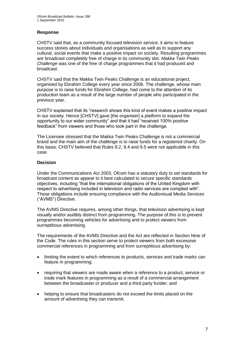#### **Response**

CHSTV said that, as a community focused television service, it aims to feature success stories about individuals and organisations as well as to support any cultural, social events that make a positive impact on society. Resulting programmes are broadcast completely free of charge in its community slot. *Makka Twin Peaks Challenge* was one of the free of charge programmes that it had produced and broadcast.

CHSTV said that the Makka Twin Peaks Challenge is an educational project, organised by Ebrahim College every year since 2006. The challenge, whose main purpose is to raise funds for Ebrahim College, had come to the attention of its production team as a result of the large number of people who participated in the previous year.

CHSTV explained that its "research shows this kind of event makes a positive impact in our society. Hence [CHSTV] gave [the organiser] a platform to expand the opportunity to our wider community" and that it had "received 100% positive feedback" from viewers and those who took part in the challenge.

The Licensee stressed that the Makka Twin Peaks Challenge is not a commercial brand and the main aim of the challenge is to raise funds for a registered charity. On this basis, CHSTV believed that Rules 9.2, 9.4 and 9.5 were not applicable in this case.

#### **Decision**

Under the Communications Act 2003, Ofcom has a statutory duty to set standards for broadcast content as appear to it best calculated to secure specific standards objectives, including "that the international obligations of the United Kingdom with respect to advertising included in television and radio services are complied with". These obligations include ensuring compliance with the Audiovisual Media Services ("AVMS") Directive.

The AVMS Directive requires, among other things, that television advertising is kept visually and/or audibly distinct from programming. The purpose of this is to prevent programmes becoming vehicles for advertising and to protect viewers from surreptitious advertising.

The requirements of the AVMS Directive and the Act are reflected in Section Nine of the Code. The rules in this section serve to protect viewers from both excessive commercial references in programming and from surreptitious advertising by:

- limiting the extent to which references to products, services and trade marks can feature in programming;
- requiring that viewers are made aware when a reference to a product, service or trade mark features in programming as a result of a commercial arrangement between the broadcaster or producer and a third party funder; and
- helping to ensure that broadcasters do not exceed the limits placed on the amount of advertising they can transmit.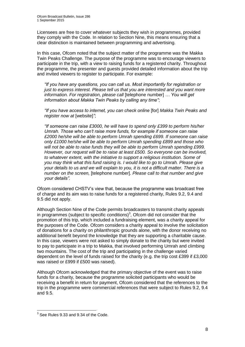Licensees are free to cover whatever subjects they wish in programmes, provided they comply with the Code. In relation to Section Nine, this means ensuring that a clear distinction is maintained between programming and advertising.

In this case, Ofcom noted that the subject matter of the programme was the Makka Twin Peaks Challenge. The purpose of the programme was to encourage viewers to participate in the trip, with a view to raising funds for a registered charity. Throughout the programme, the presenter and guests provided detailed information about the trip and invited viewers to register to participate. For example:

*"If you have any questions, you can call us. Most importantly for registration or just to express interest. Please tell us that you are interested and you want more information. For registration, please call* [telephone number] *… You will get information about Makka Twin Peaks by calling any time"*;

*"If you have access to internet, you can check online* [for] *Makka Twin Peaks and register now at* [website]*"*;

*"If someone can raise £3000, he will have to spend only £399 to perform his/her Umrah. Those who can't raise more funds, for example if someone can raise £2000 he/she will be able to perform Umrah spending £699. If someone can raise only £1000 he/she will be able to perform Umrah spending £899 and those who*  will not be able to raise funds they will be able to perform Umrah spending £999. *However, our request will be to raise at least £500. So everyone can be involved, to whatever extent, with the initiative to support a religious institution. Some of you may think what this fund raising is. I would like to go to Umrah. Please give your details to us and we will explain to you, it is not a difficult matter. There is a number on the screen,* [telephone number]*. Please call to that number and give your details".*

Ofcom considered CHSTV's view that, because the programme was broadcast free of charge and its aim was to raise funds for a registered charity, Rules 9.2, 9.4 and 9.5 did not apply.

Although Section Nine of the Code permits broadcasters to transmit charity appeals in programmes (subject to specific conditions)<sup>3</sup>, Ofcom did not consider that the promotion of this trip, which included a fundraising element, was a charity appeal for the purposes of the Code. Ofcom considers a charity appeal to involve the solicitation of donations for a charity on philanthropic grounds alone, with the donor receiving no additional benefit beyond the knowledge that they are supporting a charitable cause. In this case, viewers were not asked to simply donate to the charity but were invited to pay to participate in a trip to Makka, that involved performing Umrah and climbing two mountains. The cost of the trip and participating in the challenge varied dependent on the level of funds raised for the charity (e.g. the trip cost £399 if £3,000 was raised or £999 if £500 was raised).

Although Ofcom acknowledged that the primary objective of the event was to raise funds for a charity, because the programme solicited participants who would be receiving a benefit in return for payment, Ofcom considered that the references to the trip in the programme were commercial references that were subject to Rules 9.2, 9.4 and 9.5.

 3 See Rules 9.33 and 9.34 of the Code.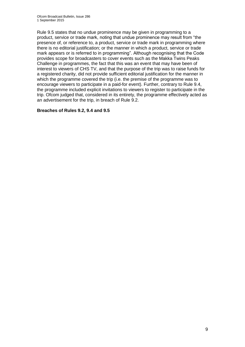Rule 9.5 states that no undue prominence may be given in programming to a product, service or trade mark, noting that undue prominence may result from "the presence of, or reference to, a product, service or trade mark in programming where there is no editorial justification; or the manner in which a product, service or trade mark appears or is referred to in programming". Although recognising that the Code provides scope for broadcasters to cover events such as the Makka Twins Peaks Challenge in programmes, the fact that this was an event that may have been of interest to viewers of CHS TV, and that the purpose of the trip was to raise funds for a registered charity, did not provide sufficient editorial justification for the manner in which the programme covered the trip (i.e. the premise of the programme was to encourage viewers to participate in a paid-for event). Further, contrary to Rule 9.4, the programme included explicit invitations to viewers to register to participate in the trip. Ofcom judged that, considered in its entirety, the programme effectively acted as an advertisement for the trip, in breach of Rule 9.2.

#### **Breaches of Rules 9.2, 9.4 and 9.5**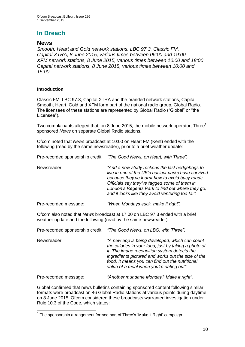# **In Breach**

### **News**

*Smooth, Heart and Gold network stations, LBC 97.3, Classic FM, Capital XTRA, 8 June 2015, various times between 06:00 and 19:00 XFM network stations, 8 June 2015, various times between 10:00 and 18:00 Capital network stations, 8 June 2015, various times between 10:00 and 15:00*

#### **Introduction**

Classic FM, LBC 97.3, Capital XTRA and the branded network stations, Capital, Smooth, Heart, Gold and XFM form part of the national radio group, Global Radio. The licensees of these stations are represented by Global Radio ("Global" or "the Licensee").

Two complainants alleged that, on 8 June 2015, the mobile network operator, Three<sup>1</sup>, sponsored *News* on separate Global Radio stations.

Ofcom noted that *News* broadcast at 10:00 on Heart FM (Kent) ended with the following (read by the same newsreader), prior to a brief weather update:

Pre-recorded sponsorship credit: *"The Good News, on Heart, with Three".*

| Newsreader: | "And a new study reckons the last hedgehogs to<br>live in one of the UK's busiest parks have survived<br>because they've learnt how to avoid busy roads.<br>Officials say they've tagged some of them in<br>London's Regents Park to find out where they go, |
|-------------|--------------------------------------------------------------------------------------------------------------------------------------------------------------------------------------------------------------------------------------------------------------|
|             | and it looks like they avoid venturing too far".                                                                                                                                                                                                             |

Pre-recorded message: *"When Mondays suck, make it right".*

Ofcom also noted that *News* broadcast at 17:00 on LBC 97.3 ended with a brief weather update and the following (read by the same newsreader):

Pre-recorded sponsorship credit: *"The Good News, on LBC, with Three".*

Newsreader: *"A new app is being developed, which can count the calories in your food, just by taking a photo of it. The image recognition system detects the ingredients pictured and works out the size of the food. It means you can find out the nutritional value of a meal when you're eating out".*

Pre-recorded message: *"Another mundane Monday? Make it right".*

Global confirmed that news bulletins containing sponsored content following similar formats were broadcast on 46 Global Radio stations at various points during daytime on 8 June 2015. Ofcom considered these broadcasts warranted investigation under Rule 10.3 of the Code, which states:

<sup>1</sup> <sup>1</sup> The sponsorship arrangement formed part of Three's 'Make it Right' campaign.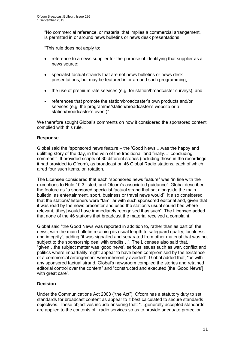"No commercial reference, or material that implies a commercial arrangement, is permitted in or around news bulletins or news desk presentations.

"This rule does not apply to:

- reference to a news supplier for the purpose of identifying that supplier as a news source;
- specialist factual strands that are not news bulletins or news desk presentations, but may be featured in or around such programming;
- the use of premium rate services (e.g. for station/broadcaster surveys); and
- references that promote the station/broadcaster's own products and/or services (e.g. the programme/station/broadcaster's website or a station/broadcaster's event)".

We therefore sought Global's comments on how it considered the sponsored content complied with this rule.

#### **Response**

Global said the "sponsored news feature – the 'Good News'…was the happy and uplifting story of the day, in the vein of the traditional 'and finally…' concluding comment". It provided scripts of 30 different stories (including those in the recordings it had provided to Ofcom), as broadcast on 46 Global Radio stations, each of which aired four such items, on rotation.

The Licensee considered that each "sponsored news feature" was "in line with the exceptions to Rule 10.3 listed, and Ofcom's associated guidance". Global described the feature as "a sponsored specialist factual strand that sat alongside the main bulletin, as entertainment, sport, business or travel news would". It also considered that the stations' listeners were "familiar with such sponsored editorial and, given that it was read by the news presenter and used the station's usual sound bed where relevant, [they] would have immediately recognised it as such". The Licensee added that none of the 46 stations that broadcast the material received a complaint.

Global said "the Good News was reported in addition to, rather than as part of, the news, with the main bulletin retaining its usual length to safeguard quality, localness and integrity", adding "it was signalled and separated from other material that was not subject to the sponsorship deal with credits...". The Licensee also said that, "given…the subject matter was 'good news', serious issues such as war, conflict and politics where impartiality might appear to have been compromised by the existence of a commercial arrangement were inherently avoided". Global added that, "as with any sponsored factual strand, Global's newsroom compiled the stories and retained editorial control over the content" and "constructed and executed [the 'Good News'] with great care".

#### **Decision**

Under the Communications Act 2003 ("the Act"), Ofcom has a statutory duty to set standards for broadcast content as appear to it best calculated to secure standards objectives. These objectives include ensuring that: "…generally accepted standards are applied to the contents of...radio services so as to provide adequate protection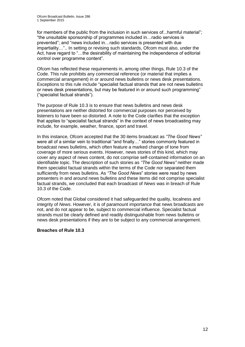for members of the public from the inclusion in such services of...harmful material"; "the unsuitable sponsorship of programmes included in…radio services is prevented"; and "news included in…radio services is presented with due impartiality…".. In setting or revising such standards, Ofcom must also, under the Act, have regard to "…the desirability of maintaining the independence of editorial control over programme content".

Ofcom has reflected these requirements in, among other things, Rule 10.3 of the Code. This rule prohibits any commercial reference (or material that implies a commercial arrangement) in or around news bulletins or news desk presentations. Exceptions to this rule include "specialist factual strands that are not news bulletins or news desk presentations, but may be featured in or around such programming" ("specialist factual strands").

The purpose of Rule 10.3 is to ensure that news bulletins and news desk presentations are neither distorted for commercial purposes nor perceived by listeners to have been so distorted. A note to the Code clarifies that the exception that applies to "specialist factual strands" in the context of news broadcasting may include, for example, weather, finance, sport and travel.

In this instance, Ofcom accepted that the 30 items broadcast as *"The Good News"*  were all of a similar vein to traditional "and finally…" stories commonly featured in broadcast news bulletins, which often feature a marked change of tone from coverage of more serious events. However, news stories of this kind, which may cover any aspect of news content, do not comprise self-contained information on an identifiable topic. The description of such stories as *"The Good News"* neither made them specialist factual strands within the terms of the Code nor separated them sufficiently from news bulletins. As *"The Good News*" stories were read by news presenters in and around news bulletins and these items did not comprise specialist factual strands, we concluded that each broadcast of *News* was in breach of Rule 10.3 of the Code.

Ofcom noted that Global considered it had safeguarded the quality, localness and integrity of *News*. However, it is of paramount importance that news broadcasts are not, and do not appear to be, subject to commercial influence. Specialist factual strands must be clearly defined and readily distinguishable from news bulletins or news desk presentations if they are to be subject to any commercial arrangement.

#### **Breaches of Rule 10.3**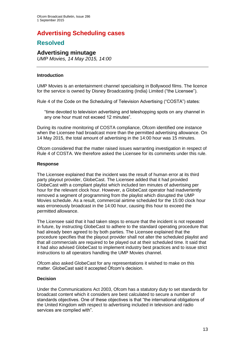# **Advertising Scheduling cases**

## **Resolved**

#### **Advertising minutage**

*UMP Movies, 14 May 2015, 14:00*

#### **Introduction**

UMP Movies is an entertainment channel specialising in Bollywood films. The licence for the service is owned by Disney Broadcasting (India) Limited ("the Licensee").

Rule 4 of the Code on the Scheduling of Television Advertising ("COSTA") states:

"time devoted to television advertising and teleshopping spots on any channel in any one hour must not exceed 12 minutes".

During its routine monitoring of COSTA compliance, Ofcom identified one instance when the Licensee had broadcast more than the permitted advertising allowance. On 14 May 2015, the total amount of advertising in the 14:00 hour was 15 minutes.

Ofcom considered that the matter raised issues warranting investigation in respect of Rule 4 of COSTA. We therefore asked the Licensee for its comments under this rule.

#### **Response**

The Licensee explained that the incident was the result of human error at its third party playout provider, GlobeCast. The Licensee added that it had provided GlobeCast with a compliant playlist which included ten minutes of advertising per hour for the relevant clock hour. However, a GlobeCast operator had inadvertently removed a segment of programming from the playlist which disrupted the UMP Movies schedule. As a result, commercial airtime scheduled for the 15:00 clock hour was erroneously broadcast in the 14:00 hour, causing this hour to exceed the permitted allowance.

The Licensee said that it had taken steps to ensure that the incident is not repeated in future, by instructing GlobeCast to adhere to the standard operating procedure that had already been agreed to by both parties. The Licensee explained that the procedure specifies that the playout provider shall not alter the scheduled playlist and that all commercials are required to be played out at their scheduled time. It said that it had also advised GlobeCast to implement industry best practices and to issue strict instructions to all operators handling the UMP Movies channel.

Ofcom also asked GlobeCast for any representations it wished to make on this matter. GlobeCast said it accepted Ofcom's decision.

#### **Decision**

Under the Communications Act 2003, Ofcom has a statutory duty to set standards for broadcast content which it considers are best calculated to secure a number of standards objectives. One of these objectives is that "the international obligations of the United Kingdom with respect to advertising included in television and radio services are complied with".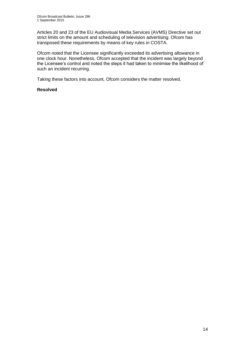Articles 20 and 23 of the EU Audiovisual Media Services (AVMS) Directive set out strict limits on the amount and scheduling of television advertising. Ofcom has transposed these requirements by means of key rules in COSTA.

Ofcom noted that the Licensee significantly exceeded its advertising allowance in one clock hour. Nonetheless, Ofcom accepted that the incident was largely beyond the Licensee's control and noted the steps it had taken to minimise the likelihood of such an incident recurring.

Taking these factors into account, Ofcom considers the matter resolved.

#### **Resolved**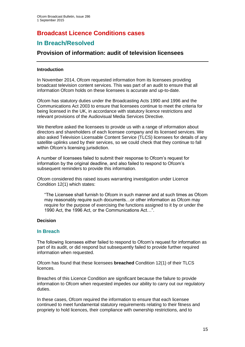# **Broadcast Licence Conditions cases**

## **In Breach/Resolved**

## **Provision of information: audit of television licensees**

#### **Introduction**

In November 2014, Ofcom requested information from its licensees providing broadcast television content services. This was part of an audit to ensure that all information Ofcom holds on these licensees is accurate and up-to-date.

Ofcom has statutory duties under the Broadcasting Acts 1990 and 1996 and the Communications Act 2003 to ensure that licensees continue to meet the criteria for being licensed in the UK, in accordance with statutory licence restrictions and relevant provisions of the Audiovisual Media Services Directive.

We therefore asked the licensees to provide us with a range of information about directors and shareholders of each licensee company and its licensed services. We also asked Television Licensable Content Service (TLCS) licensees for details of any satellite uplinks used by their services, so we could check that they continue to fall within Ofcom's licensing jurisdiction.

A number of licensees failed to submit their response to Ofcom's request for information by the original deadline, and also failed to respond to Ofcom's subsequent reminders to provide this information.

Ofcom considered this raised issues warranting investigation under Licence Condition 12(1) which states:

"The Licensee shall furnish to Ofcom in such manner and at such times as Ofcom may reasonably require such documents…or other information as Ofcom may require for the purpose of exercising the functions assigned to it by or under the 1990 Act, the 1996 Act, or the Communications Act…".

#### **Decision**

#### **In Breach**

The following licensees either failed to respond to Ofcom's request for information as part of its audit, or did respond but subsequently failed to provide further required information when requested.

Ofcom has found that these licensees **breached** Condition 12(1) of their TLCS licences.

Breaches of this Licence Condition are significant because the failure to provide information to Ofcom when requested impedes our ability to carry out our regulatory duties.

In these cases, Ofcom required the information to ensure that each licensee continued to meet fundamental statutory requirements relating to their fitness and propriety to hold licences, their compliance with ownership restrictions, and to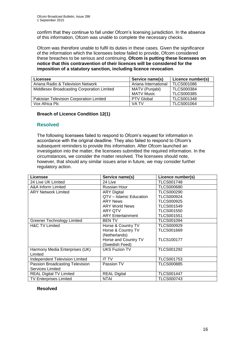confirm that they continue to fall under Ofcom's licensing jurisdiction. In the absence of this information, Ofcom was unable to complete the necessary checks.

Ofcom was therefore unable to fulfil its duties in these cases. Given the significance of the information which the licensees below failed to provide, Ofcom considered these breaches to be serious and continuing. **Ofcom is putting these licensees on notice that this contravention of their licences will be considered for the imposition of a statutory sanction, including licence revocation**.

| Licensee                                   | Service name(s)      | Licence number(s) |
|--------------------------------------------|----------------------|-------------------|
| Ariana Radio & Television Network          | Ariana International | <b>TLCS001086</b> |
| Middlesex Broadcasting Corporation Limited | MATV (Punjabi)       | TLCS000384        |
|                                            | <b>MATV Music</b>    | <b>TLCS000385</b> |
| Pakistan Television Corporation Limited    | <b>PTV Global</b>    | <b>TLCS001348</b> |
| Vox Africa Plc                             | VA TV                | <b>TLCS001064</b> |

#### **Breach of Licence Condition 12(1)**

#### **Resolved**

The following licensees failed to respond to Ofcom's request for information in accordance with the original deadline. They also failed to respond to Ofcom's subsequent reminders to provide this information. After Ofcom launched an investigation into the matter, the licensees submitted the required information. In the circumstances, we consider the matter resolved. The licensees should note, however, that should any similar issues arise in future, we may consider further regulatory action.

| Licensee                              | Service name(s)          | Licence number(s) |
|---------------------------------------|--------------------------|-------------------|
| 24 Live UK Limited                    | 24 Live                  | <b>TLCS001748</b> |
| A&A Inform Limited                    | <b>Russian Hour</b>      | <b>TLCS000680</b> |
| <b>ARY Network Limited</b>            | <b>ARY Digital</b>       | <b>TLCS000290</b> |
|                                       | QTV - Islamic Education  | <b>TLCS000924</b> |
|                                       | <b>ARY News</b>          | <b>TLCS000925</b> |
|                                       | <b>ARY World News</b>    | TLCS001549        |
|                                       | ARY QTV                  | <b>TLCS001550</b> |
|                                       | <b>ARY Entertainment</b> | <b>TLCS001551</b> |
| <b>Greener Technology Limited</b>     | <b>BEN TV</b>            | TLCS001094        |
| <b>H&amp;C TV Limited</b>             | Horse & Country TV       | <b>TLCS000929</b> |
|                                       | Horse & Country TV       | <b>TLCS001669</b> |
|                                       | (Netherlands)            |                   |
|                                       | Horse and Country TV     | <b>TLCS100177</b> |
|                                       | (Swedish Feed)           |                   |
| Harmony Media Enterprises (UK)        | <b>UKS Fuzion TV</b>     | <b>TLCS001292</b> |
| Limited                               |                          |                   |
| <b>Independent Television Limited</b> | <b>IT TV</b>             | TLCS001753        |
| Passion Broadcasting Television       | Passion TV               | <b>TLCS000885</b> |
| <b>Services Limited</b>               |                          |                   |
| <b>REAL Digital TV Limited</b>        | <b>REAL Digital</b>      | <b>TLCS001447</b> |
| <b>TV Enterprises Limited</b>         | NTAI                     | <b>TLCS000743</b> |

#### **Resolved**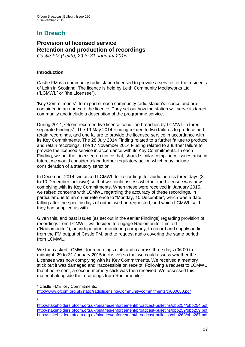# **In Breach**

#### **Provision of licensed service Retention and production of recordings** *Castle FM (Leith), 29 to 31 January 2015*

#### **Introduction**

Castle FM is a community radio station licensed to provide a service for the residents of Leith in Scotland. The licence is held by Leith Community Mediaworks Ltd ("LCMWL" or "the Licensee").

'Key Commitments'<sup>1</sup> form part of each community radio station's licence and are contained in an annex to the licence. They set out how the station will serve its target community and include a description of the programme service.

During 2014, Ofcom recorded five licence condition breaches by LCMWL in three separate Findings<sup>2</sup>. The 19 May 2014 Finding related to two failures to produce and retain recordings, and one failure to provide the licensed service in accordance with its Key Commitments. The 28 July 2014 Finding related to a further failure to produce and retain recordings. The 17 November 2014 Finding related to a further failure to provide the licensed service in accordance with its Key Commitments. In each Finding, we put the Licensee on notice that, should similar compliance issues arise in future, we would consider taking further regulatory action which may include consideration of a statutory sanction.

In December 2014, we asked LCMWL for recordings for audio across three days (8 to 10 December inclusive) so that we could assess whether the Licensee was now complying with its Key Commitments. When these were received in January 2015, we raised concerns with LCMWL regarding the accuracy of these recordings, in particular due to an on-air reference to "Monday, 15 December", which was a date falling after the specific days of output we had requested, and which LCMWL said they had supplied us with.

Given this, and past issues (as set out in the earlier Findings) regarding provision of recordings from LCMWL, we decided to engage Radiomonitor Limited ("Radiomonitor"), an independent monitoring company, to record and supply audio from the FM output of Castle FM, and to request audio covering the same period from LCMWL.

We then asked LCMWL for recordings of its audio across three days (06:00 to midnight, 29 to 31 January 2015 inclusive) so that we could assess whether the Licensee was now complying with its Key Commitments. We received a memory stick but it was damaged and inaccessible on receipt. Following a request to LCMWL that it be re-sent, a second memory stick was then received. We assessed this material alongside the recordings from Radiomonitor.

 $\overline{2}$ 

1

<sup>1</sup> Castle FM's Key Commitments:

<http://www.ofcom.org.uk/static/radiolicensing/Community/commitments/cr000080.pdf>

<http://stakeholders.ofcom.org.uk/binaries/enforcement/broadcast-bulletins/obb254/obb254.pdf> <http://stakeholders.ofcom.org.uk/binaries/enforcement/broadcast-bulletins/obb259/obb259.pdf> <http://stakeholders.ofcom.org.uk/binaries/enforcement/broadcast-bulletins/obb268/obb267.pdf>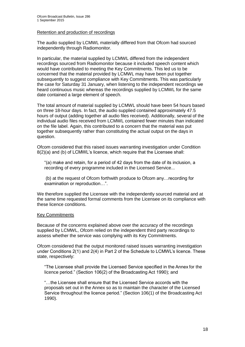#### Retention and production of recordings

The audio supplied by LCMWL materially differed from that Ofcom had sourced independently through Radiomonitor.

In particular, the material supplied by LCMWL differed from the independent recordings sourced from Radiomonitor because it included speech content which would have contributed to meeting the Key Commitments. This led us to be concerned that the material provided by LCMWL may have been put together subsequently to suggest compliance with Key Commitments. This was particularly the case for Saturday 31 January, when listening to the independent recordings we heard continuous music whereas the recordings supplied by LCMWL for the same date contained a large element of speech.

The total amount of material supplied by LCMWL should have been 54 hours based on three 18-hour days. In fact, the audio supplied contained approximately 47.5 hours of output (adding together all audio files received). Additionally, several of the individual audio files received from LCMWL contained fewer minutes than indicated on the file label. Again, this contributed to a concern that the material was put together subsequently rather than constituting the actual output on the days in question.

Ofcom considered that this raised issues warranting investigation under Condition 8(2)(a) and (b) of LCMWL's licence, which require that the Licensee shall:

"(a) make and retain, for a period of 42 days from the date of its inclusion, a recording of every programme included in the Licensed Service...

(b) at the request of Ofcom forthwith produce to Ofcom any…recording for examination or reproduction…".

We therefore supplied the Licensee with the independently sourced material and at the same time requested formal comments from the Licensee on its compliance with these licence conditions.

#### Key Commitments

Because of the concerns explained above over the accuracy of the recordings supplied by LCMWL, Ofcom relied on the independent third party recordings to assess whether the service was complying with its Key Commitments.

Ofcom considered that the output monitored raised issues warranting investigation under Conditions 2(1) and 2(4) in Part 2 of the Schedule to LCMWL's licence. These state, respectively:

"The Licensee shall provide the Licensed Service specified in the Annex for the licence period." (Section 106(2) of the Broadcasting Act 1990); and

"…the Licensee shall ensure that the Licensed Service accords with the proposals set out in the Annex so as to maintain the character of the Licensed Service throughout the licence period." (Section 106(1) of the Broadcasting Act 1990).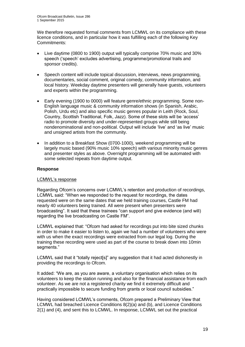We therefore requested formal comments from LCMWL on its compliance with these licence conditions, and in particular how it was fulfilling each of the following Key Commitments:

- Live daytime (0800 to 1900) output will typically comprise 70% music and 30% speech ('speech' excludes advertising, programme/promotional trails and sponsor credits).
- Speech content will include topical discussion, interviews, news programming, documentaries, social comment, original comedy, community information, and local history. Weekday daytime presenters will generally have guests, volunteers and experts within the programming.
- Early evening (1900 to 0000) will feature genre/ethnic programming. Some non-English language music & community information shows (in Spanish, Arabic, Polish, Urdu etc) and also specific music genres popular in Leith (Rock, Soul, Country, Scottish Traditional, Folk, Jazz). Some of these slots will be 'access' radio to promote diversity and under-represented groups while still being nondenominational and non-political. Output will include 'live' and 'as live' music and unsigned artists from the community.
- In addition to a Breakfast Show (0700-1000), weekend programming will be largely music based (90% music 10% speech) with various minority music genres and presenter styles as above. Overnight programming will be automated with some selected repeats from daytime output.

#### **Response**

#### LCMWL's response

Regarding Ofcom's concerns over LCMWL's retention and production of recordings, LCMWL said: "When we responded to the request for recordings, the dates requested were on the same dates that we held training courses, Castle FM had nearly 40 volunteers being trained. All were present when presenters were broadcasting". It said that these trainees "can support and give evidence (and will) regarding the live broadcasting on Castle FM".

LCMWL explained that: "Ofcom had asked for recordings put into bite sized chunks in order to make it easier to listen to, again we had a number of volunteers who were with us when the exact recordings were extracted from our legal log. During the training these recording were used as part of the course to break down into 10min segments."

LCMWL said that it "totally reject[s]" any suggestion that it had acted dishonestly in providing the recordings to Ofcom.

It added: "We are, as you are aware, a voluntary organisation which relies on its volunteers to keep the station running and also for the financial assistance from each volunteer. As we are not a registered charity we find it extremely difficult and practically impossible to secure funding from grants or local council subsidies."

Having considered LCMWL's comments, Ofcom prepared a Preliminary View that LCMWL had breached Licence Conditions 8(2)(a) and (b), and Licence Conditions 2(1) and (4), and sent this to LCMWL. In response, LCMWL set out the practical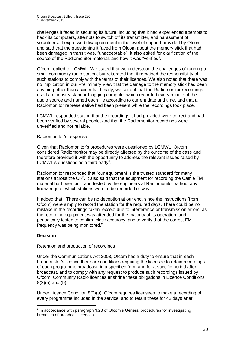challenges it faced in securing its future, including that it had experienced attempts to hack its computers, attempts to switch off its transmitter, and harassment of volunteers. It expressed disappointment in the level of support provided by Ofcom, and said that the questioning it faced from Ofcom about the memory stick that had been damaged in transit was, "unacceptable". It also asked for clarification of the source of the Radiomonitor material, and how it was "verified".

Ofcom replied to LCMWL. We stated that we understood the challenges of running a small community radio station, but reiterated that it remained the responsibility of such stations to comply with the terms of their licences. We also noted that there was no implication in our Preliminary View that the damage to the memory stick had been anything other than accidental. Finally, we set out that the Radiomonitor recordings used an industry standard logging computer which recorded every minute of the audio source and named each file according to current date and time, and that a Radiomonitor representative had been present while the recordings took place.

LCMWL responded stating that the recordings it had provided were correct and had been verified by several people, and that the Radiomonitor recordings were unverified and not reliable.

#### Radiomonitor's response

Given that Radiomonitor's procedures were questioned by LCMWL, Ofcom considered Radiomonitor may be directly affected by the outcome of the case and therefore provided it with the opportunity to address the relevant issues raised by LCMWL's questions as a third party<sup>3</sup>.

Radiomonitor responded that "our equipment is the trusted standard for many stations across the UK". It also said that the equipment for recording the Castle FM material had been built and tested by the engineers at Radiomonitor without any knowledge of which stations were to be recorded or why.

It added that: "There can be no deception at our end, since the instructions [from Ofcom] were simply to record the station for the required days. There could be no mistake in the recordings taken, except due to interference or transmission errors, as the recording equipment was attended for the majority of its operation, and periodically tested to confirm clock accuracy, and to verify that the correct FM frequency was being monitored."

#### **Decision**

#### Retention and production of recordings

Under the Communications Act 2003, Ofcom has a duty to ensure that in each broadcaster's licence there are conditions requiring the licensee to retain recordings of each programme broadcast, in a specified form and for a specific period after broadcast, and to comply with any request to produce such recordings issued by Ofcom. Community Radio licences enshrine these obligations in Licence Conditions  $8(2)(a)$  and  $(b)$ .

Under Licence Condition 8(2)(a), Ofcom requires licensees to make a recording of every programme included in the service, and to retain these for 42 days after

 3 In accordance with paragraph 1.28 of Ofcom's General procedures for investigating breaches of broadcast licences.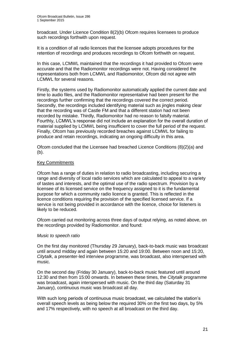broadcast. Under Licence Condition 8(2)(b) Ofcom requires licensees to produce such recordings forthwith upon request.

It is a condition of all radio licences that the licensee adopts procedures for the retention of recordings and produces recordings to Ofcom forthwith on request.

In this case, LCMWL maintained that the recordings it had provided to Ofcom were accurate and that the Radiomonitor recordings were not. Having considered the representations both from LCMWL and Radiomonitor, Ofcom did not agree with LCMWL for several reasons.

Firstly, the systems used by Radiomonitor automatically applied the current date and time to audio files, and the Radiomonitor representative had been present for the recordings further confirming that the recordings covered the correct period. Secondly, the recordings included identifying material such as jingles making clear that the recording was of Castle FM and that a different station had not been recorded by mistake. Thirdly, Radiomonitor had no reason to falsify material. Fourthly, LCMWL's response did not include an explanation for the overall duration of material supplied by LCMWL being insufficient to cover the full period of the request. Finally, Ofcom has previously recorded breaches against LCMWL for failing to produce and retain recordings, indicating an ongoing difficulty in this area.

Ofcom concluded that the Licensee had breached Licence Conditions (8)(2)(a) and (b).

#### Key Commitments

Ofcom has a range of duties in relation to radio broadcasting, including securing a range and diversity of local radio services which are calculated to appeal to a variety of tastes and interests, and the optimal use of the radio spectrum. Provision by a licensee of its licensed service on the frequency assigned to it is the fundamental purpose for which a community radio licence is granted. This is reflected in the licence conditions requiring the provision of the specified licensed service. If a service is not being provided in accordance with the licence, choice for listeners is likely to be reduced.

Ofcom carried out monitoring across three days of output relying, as noted above, on the recordings provided by Radiomonitor. and found:

#### *Music to speech ratio*

On the first day monitored (Thursday 29 January), back-to-back music was broadcast until around midday and again between 15:20 and 19:00. Between noon and 15:20, *Citytalk*, a presenter-led interview programme, was broadcast, also interspersed with music.

On the second day (Friday 30 January), back-to-back music featured until around 12:30 and then from 15:00 onwards. In between these times, the *Citytalk* programme was broadcast, again interspersed with music. On the third day (Saturday 31 January), continuous music was broadcast all day.

With such long periods of continuous music broadcast, we calculated the station's overall speech levels as being below the required 30% on the first two days, by 5% and 17% respectively, with no speech at all broadcast on the third day.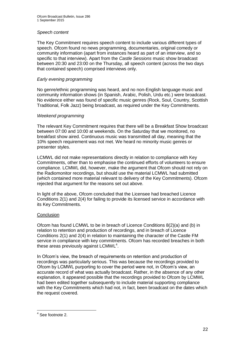#### *Speech content*

The Key Commitment requires speech content to include various different types of speech. Ofcom found no news programming, documentaries, original comedy or community information (apart from instances heard as part of an interview, and so specific to that interview). Apart from the *Castle Sessions* music show broadcast between 20:30 and 23:00 on the Thursday, all speech content (across the two days that contained speech) comprised interviews only.

#### *Early evening programming*

No genre/ethnic programming was heard, and no non-English language music and community information shows (in Spanish, Arabic, Polish, Urdu etc.) were broadcast. No evidence either was found of specific music genres (Rock, Soul, Country, Scottish Traditional, Folk Jazz) being broadcast, as required under the Key Commitments.

#### *Weekend programming*

The relevant Key Commitment requires that there will be a Breakfast Show broadcast between 07:00 and 10:00 at weekends. On the Saturday that we monitored, no breakfast show aired. Continuous music was transmitted all day, meaning that the 10% speech requirement was not met. We heard no minority music genres or presenter styles.

LCMWL did not make representations directly in relation to compliance with Key Commitments, other than to emphasise the continued efforts of volunteers to ensure compliance. LCMWL did, however, make the argument that Ofcom should not rely on the Radiomonitor recordings, but should use the material LCMWL had submitted (which contained more material relevant to delivery of the Key Commitments). Ofcom rejected that argument for the reasons set out above.

In light of the above, Ofcom concluded that the Licensee had breached Licence Conditions 2(1) and 2(4) for failing to provide its licensed service in accordance with its Key Commitments.

#### **Conclusion**

Ofcom has found LCMWL to be in breach of Licence Conditions 8(2)(a) and (b) in relation to retention and production of recordings, and in breach of Licence Conditions 2(1) and 2(4) in relation to maintaining the character of the Castle FM service in compliance with key commitments. Ofcom has recorded breaches in both these areas previously against LCMWL $4$ .

In Ofcom's view, the breach of requirements on retention and production of recordings was particularly serious. This was because the recordings provided to Ofcom by LCMWL purporting to cover the period were not, in Ofcom's view, an accurate record of what was actually broadcast. Rather, in the absence of any other explanation, it appeared possible that the recordings provided to Ofcom by LCMWL had been edited together subsequently to include material supporting compliance with the Key Commitments which had not, in fact, been broadcast on the dates which the request covered.

 4 See footnote 2.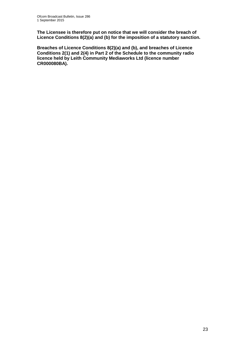**The Licensee is therefore put on notice that we will consider the breach of Licence Conditions 8(2)(a) and (b) for the imposition of a statutory sanction.** 

**Breaches of Licence Conditions 8(2)(a) and (b), and breaches of Licence Conditions 2(1) and 2(4) in Part 2 of the Schedule to the community radio licence held by Leith Community Mediaworks Ltd (licence number CR000080BA).**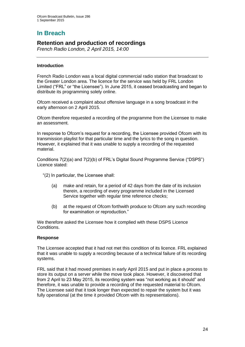# **In Breach**

## **Retention and production of recordings**

*French Radio London, 2 April 2015, 14:00*

#### **Introduction**

French Radio London was a local digital commercial radio station that broadcast to the Greater London area. The licence for the service was held by FRL London Limited ("FRL" or "the Licensee"). In June 2015, it ceased broadcasting and began to distribute its programming solely online.

Ofcom received a complaint about offensive language in a song broadcast in the early afternoon on 2 April 2015.

Ofcom therefore requested a recording of the programme from the Licensee to make an assessment.

In response to Ofcom's request for a recording, the Licensee provided Ofcom with its transmission playlist for that particular time and the lyrics to the song in question. However, it explained that it was unable to supply a recording of the requested material.

Conditions 7(2)(a) and 7(2)(b) of FRL's Digital Sound Programme Service ("DSPS") Licence stated:

"(2) In particular, the Licensee shall:

- (a) make and retain, for a period of 42 days from the date of its inclusion therein, a recording of every programme included in the Licensed Service together with regular time reference checks;
- (b) at the request of Ofcom forthwith produce to Ofcom any such recording for examination or reproduction."

We therefore asked the Licensee how it complied with these DSPS Licence Conditions.

#### **Response**

The Licensee accepted that it had not met this condition of its licence. FRL explained that it was unable to supply a recording because of a technical failure of its recording systems.

FRL said that it had moved premises in early April 2015 and put in place a process to store its output on a server while the move took place. However, it discovered that from 2 April to 23 May 2015, its recording system was "not working as it should" and therefore, it was unable to provide a recording of the requested material to Ofcom. The Licensee said that it took longer than expected to repair the system but it was fully operational (at the time it provided Ofcom with its representations).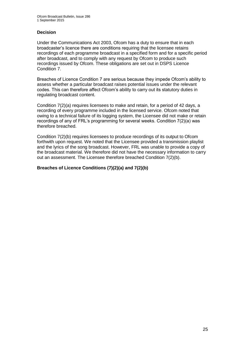#### **Decision**

Under the Communications Act 2003, Ofcom has a duty to ensure that in each broadcaster's licence there are conditions requiring that the licensee retains recordings of each programme broadcast in a specified form and for a specific period after broadcast, and to comply with any request by Ofcom to produce such recordings issued by Ofcom. These obligations are set out in DSPS Licence Condition 7.

Breaches of Licence Condition 7 are serious because they impede Ofcom's ability to assess whether a particular broadcast raises potential issues under the relevant codes. This can therefore affect Ofcom's ability to carry out its statutory duties in regulating broadcast content.

Condition 7(2)(a) requires licensees to make and retain, for a period of 42 days, a recording of every programme included in the licensed service. Ofcom noted that owing to a technical failure of its logging system, the Licensee did not make or retain recordings of any of FRL's programming for several weeks. Condition 7(2)(a) was therefore breached.

Condition 7(2)(b) requires licensees to produce recordings of its output to Ofcom forthwith upon request. We noted that the Licensee provided a transmission playlist and the lyrics of the song broadcast. However, FRL was unable to provide a copy of the broadcast material. We therefore did not have the necessary information to carry out an assessment. The Licensee therefore breached Condition 7(2)(b).

#### **Breaches of Licence Conditions (7)(2)(a) and 7(2)(b)**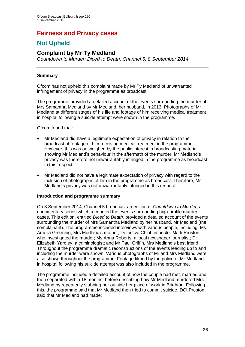# **Fairness and Privacy cases**

# **Not Upheld**

## **Complaint by Mr Ty Medland**

*Countdown to Murder: Diced to Death, Channel 5, 8 September 2014*

#### **Summary**

Ofcom has not upheld this complaint made by Mr Ty Medland of unwarranted infringement of privacy in the programme as broadcast.

The programme provided a detailed account of the events surrounding the murder of Mrs Samantha Medland by Mr Medland, her husband, in 2013. Photographs of Mr Medland at different stages of his life and footage of him receiving medical treatment in hospital following a suicide attempt were shown in the programme.

Ofcom found that:

- Mr Medland did have a legitimate expectation of privacy in relation to the broadcast of footage of him receiving medical treatment in the programme. However, this was outweighed by the public interest in broadcasting material showing Mr Medland's behaviour in the aftermath of the murder. Mr Medland's privacy was therefore not unwarrantably infringed in the programme as broadcast in this respect.
- Mr Medland did not have a legitimate expectation of privacy with regard to the inclusion of photographs of him in the programme as broadcast. Therefore, Mr Medland's privacy was not unwarrantably infringed in this respect.

#### **Introduction and programme summary**

On 8 September 2014, Channel 5 broadcast an edition of *Countdown to Murder*, a documentary series which recounted the events surrounding high-profile murder cases. This edition, entitled *Diced to Death,* provided a detailed account of the events surrounding the murder of Mrs Samantha Medland by her husband, Mr Medland (the complainant). The programme included interviews with various people, including: Ms Amelia Greening, Mrs Medland's mother; Detective Chief Inspector Mark Preston, who investigated the murder; Ms Anna Roberts, a local newspaper journalist; Dr Elizabeth Yardley, a criminologist; and Mr Paul Griffin, Mrs Medland's best friend. Throughout the programme dramatic reconstructions of the events leading up to and including the murder were shown. Various photographs of Mr and Mrs Medland were also shown throughout the programme. Footage filmed by the police of Mr Medland in hospital following his suicide attempt was also included in the programme.

The programme included a detailed account of how the couple had met, married and then separated within 18 months, before describing how Mr Medland murdered Mrs Medland by repeatedly stabbing her outside her place of work in Brighton. Following this, the programme said that Mr Medland then tried to commit suicide. DCI Preston said that Mr Medland had made: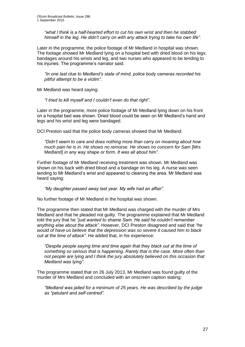*"what I think is a half-hearted effort to cut his own wrist and then he stabbed himself in the leg. He didn't carry on with any attack trying to take his own life".* 

Later in the programme, the police footage of Mr Medland in hospital was shown. The footage showed Mr Medland lying on a hospital bed with dried blood on his legs; bandages around his wrists and leg, and two nurses who appeared to be tending to his injuries. The programme's narrator said:

*"In one last clue to Medland's state of mind, police body cameras recorded his pitiful attempt to be a victim".*

Mr Medland was heard saying:

*"I tried to kill myself and I couldn't even do that right".* 

Later in the programme, more police footage of Mr Medland lying down on his front on a hospital bed was shown. Dried blood could be seen on Mr Medland's hand and legs and his wrist and leg were bandaged.

DCI Preston said that the police body cameras showed that Mr Medland:

*"Didn't seem to care and does nothing more than carry on moaning about how much pain he is in. He shows no remorse. He shows no concern for Sam* [Mrs Medland] *in any way shape or form. It was all about him".*

Further footage of Mr Medland receiving treatment was shown. Mr Medland was shown on his back with dried blood and a bandage on his leg. A nurse was seen tending to Mr Medland's wrist and appeared to cleaning the area. Mr Medland was heard saying:

*"My daughter passed away last year. My wife had an affair".* 

No further footage of Mr Medland in the hospital was shown.

The programme then stated that Mr Medland was charged with the murder of Mrs Medland and that he pleaded not guilty. The programme explained that Mr Medland told the jury that he *"just wanted to shame Sam. He said he couldn't remember anything else about the attack"*. However, DCI Preston disagreed and said that *"he would of have us believe that the depression was so severe it caused him to black out at the time of attack".* He added that, in his experience:

*"Despite people saying time and time again that they black out at the time of something so serious that is happening. Rarely that is the case. More often than not people are lying and I think the jury absolutely believed on this occasion that Medland was lying".* 

The programme stated that on 26 July 2013, Mr Medland was found guilty of the murder of Mrs Medland and concluded with an onscreen caption stating:

*"Medland was jailed for a minimum of 25 years. He was described by the judge as "petulant and self-centred".*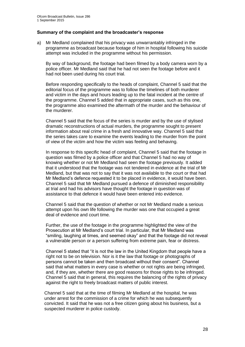#### **Summary of the complaint and the broadcaster's response**

a) Mr Medland complained that his privacy was unwarrantably infringed in the programme as broadcast because footage of him in hospital following his suicide attempt was included in the programme without his permission.

By way of background, the footage had been filmed by a body camera worn by a police officer. Mr Medland said that he had not seen the footage before and it had not been used during his court trial.

Before responding specifically to the heads of complaint, Channel 5 said that the editorial focus of the programme was to follow the timelines of both murderer and victim in the days and hours leading up to the fatal incident at the centre of the programme. Channel 5 added that in appropriate cases, such as this one, the programme also examined the aftermath of the murder and the behaviour of the murderer.

Channel 5 said that the focus of the series is murder and by the use of stylised dramatic reconstructions of actual murders, the programme sought to present information about real crime in a fresh and innovative way. Channel 5 said that the series takes care to examine the events leading to the murder from the point of view of the victim and how the victim was feeling and behaving.

In response to this specific head of complaint, Channel 5 said that the footage in question was filmed by a police officer and that Channel 5 had no way of knowing whether or not Mr Medland had seen the footage previously. It added that it understood that the footage was not tendered in evidence at the trial of Mr Medland, but that was not to say that it was not available to the court or that had Mr Medland's defence requested it to be placed in evidence, it would have been. Channel 5 said that Mr Medland pursued a defence of diminished responsibility at trial and had his advisors have thought the footage in question was of assistance to that defence it would have been entered into evidence.

Channel 5 said that the question of whether or not Mr Medland made a serious attempt upon his own life following the murder was one that occupied a great deal of evidence and court time.

Further, the use of the footage in the programme highlighted the view of the Prosecution at Mr Medland's court trial. In particular, that Mr Medland was "smiling, laughing at times, and seemed okay" and that the footage did not reveal a vulnerable person or a person suffering from extreme pain, fear or distress.

Channel 5 stated that "it is not the law in the United Kingdom that people have a right not to be on television. Nor is it the law that footage or photographs of persons cannot be taken and then broadcast without their consent". Channel said that what matters in every case is whether or not rights are being infringed, and, if they are, whether there are good reasons for those rights to be infringed. Channel 5 said that in general, this requires the balancing of the rights of privacy against the right to freely broadcast matters of public interest.

Channel 5 said that at the time of filming Mr Medland at the hospital, he was under arrest for the commission of a crime for which he was subsequently convicted. It said that he was not a free citizen going about his business, but a suspected murderer in police custody.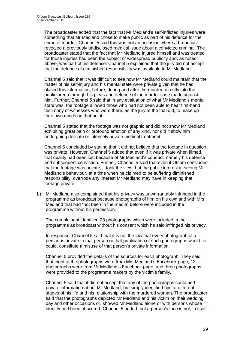The broadcaster added that the fact that Mr Medland's self-inflicted injuries were something that Mr Medland chose to make public as part of his defence for the crime of murder. Channel 5 said this was not an occasion where a broadcast revealed a previously undisclosed medical issue about a convicted criminal. The broadcaster stated that the fact that Mr Medland injured himself and was treated for those injuries had been the subject of widespread publicity and, as noted above, was part of his defence. Channel 5 explained that the jury did not accept that the defence of diminished responsibility was available to Mr Medland.

Channel 5 said that it was difficult to see how Mr Medland could maintain that the matter of his self-injury and his mental state were private given that he had placed this information, before, during and after the murder, directly into the public arena through his pleas and defence of the murder case made against him. Further, Channel 5 said that in any evaluation of what Mr Medland's mental state was, the footage allowed those who had not been able to hear first-hand testimony of witnesses who were there, as the jury at the trial did, to make up their own minds on that point.

Channel 5 stated that the footage was not graphic and did not show Mr Medland exhibiting great pain or profound emotion of any kind, nor did it show him undergoing delicate or intensely private medical treatment.

Channel 5 concluded by stating that it did not believe that the footage in question was private. However, Channel 5 added that even if it was private when filmed, that quality had been lost because of Mr Medland's conduct, namely his defence and subsequent conviction. Further, Channel 5 said that even if Ofcom concluded that the footage was private, it took the view that the public interest in seeing Mr Medland's behaviour, at a time when he claimed to be suffering diminished responsibility, overrode any interest Mr Medland may have in keeping that footage private.

b) Mr Medland also complained that his privacy was unwarrantably infringed in the programme as broadcast because photographs of him on his own and with Mrs Medland that had "not been in the media" before were included in the programme without his permission.

The complainant identified 23 photographs which were included in the programme as broadcast without his consent which he said infringed his privacy.

In response, Channel 5 said that it is not the law that every photograph of a person is private to that person or that publication of such photographs would, or could, constitute a misuse of that person's private information.

Channel 5 provided the details of the sources for each photograph. They said that eight of the photographs were from Mrs Medland's Facebook page, 12 photographs were from Mr Medland's Facebook page, and three photographs were provided to the programme makers by the victim's family.

Channel 5 said that it did not accept that any of the photographs contained private information about Mr Medland, but simply identified him at different stages of his life and his relationship with the murdered woman. The broadcaster said that the photographs depicted Mr Medland and his victim on their wedding day and other occasions or, showed Mr Medland alone or with persons whose identity had been obscured. Channel 5 added that a person's face is not, in itself,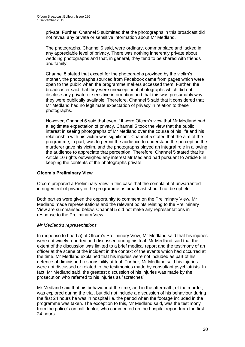private. Further, Channel 5 submitted that the photographs in this broadcast did not reveal any private or sensitive information about Mr Medland.

The photographs, Channel 5 said, were ordinary, commonplace and lacked in any appreciable level of privacy. There was nothing inherently private about wedding photographs and that, in general, they tend to be shared with friends and family.

Channel 5 stated that except for the photographs provided by the victim's mother, the photographs sourced from Facebook came from pages which were open to the public when the programme makers accessed them. Further, the broadcaster said that they were unexceptional photographs which did not disclose any private or sensitive information and that this was presumably why they were publically available. Therefore, Channel 5 said that it considered that Mr Medland had no legitimate expectation of privacy in relation to these photographs.

However, Channel 5 said that even if it were Ofcom's view that Mr Medland had a legitimate expectation of privacy, Channel 5 took the view that the public interest in seeing photographs of Mr Medland over the course of his life and his relationship with his victim was significant. Channel 5 stated that the aim of the programme, in part, was to permit the audience to understand the perception the murderer gave his victim, and the photographs played an integral role in allowing the audience to appreciate that perception. Therefore, Channel 5 stated that its Article 10 rights outweighed any interest Mr Medland had pursuant to Article 8 in keeping the contents of the photographs private.

#### **Ofcom's Preliminary View**

Ofcom prepared a Preliminary View in this case that the complaint of unwarranted infringement of privacy in the programme as broadcast should not be upheld.

Both parties were given the opportunity to comment on the Preliminary View. Mr Medland made representations and the relevant points relating to the Preliminary View are summarised below. Channel 5 did not make any representations in response to the Preliminary View.

#### *Mr Medland's representations*

In response to head a) of Ofcom's Preliminary View, Mr Medland said that his injuries were not widely reported and discussed during his trial. Mr Medland said that the extent of the discussion was limited to a brief medical report and the testimony of an officer at the scene of the incident in the context of the events which had occurred at the time. Mr Medland explained that his injuries were not included as part of his defence of diminished responsibility at trial. Further, Mr Medland said his injuries were not discussed or related to the testimonies made by consultant psychiatrists. In fact, Mr Medland said, the greatest discussion of his injuries was made by the prosecution who referred to his injuries as "scratches".

Mr Medland said that his behaviour at the time, and in the aftermath, of the murder, was explored during the trial, but did not include a discussion of his behaviour during the first 24 hours he was in hospital i.e. the period when the footage included in the programme was taken. The exception to this, Mr Medland said, was the testimony from the police's on call doctor, who commented on the hospital report from the first 24 hours.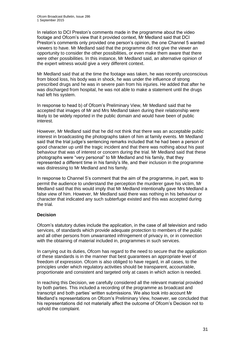In relation to DCI Preston's comments made in the programme about the video footage and Ofcom's view that it provided context, Mr Medland said that DCI Preston's comments only provided one person's opinion, the one Channel 5 wanted viewers to have. Mr Medland said that the programme did not give the viewer an opportunity to consider the other possibilities, or even make them aware that there were other possibilities. In this instance, Mr Medland said, an alternative opinion of the expert witness would give a very different context.

Mr Medland said that at the time the footage was taken, he was recently unconscious from blood loss, his body was in shock, he was under the influence of strong prescribed drugs and he was in severe pain from his injuries. He added that after he was discharged from hospital, he was not able to make a statement until the drugs had left his system.

In response to head b) of Ofcom's Preliminary View, Mr Medland said that he accepted that images of Mr and Mrs Medland taken during their relationship were likely to be widely reported in the public domain and would have been of public interest.

However, Mr Medland said that he did not think that there was an acceptable public interest in broadcasting the photographs taken of him at family events. Mr Medland said that the trial judge's sentencing remarks included that he had been a person of good character up until the tragic incident and that there was nothing about his past behaviour that was of interest or concern during the trial. Mr Medland said that these photographs were "very personal" to Mr Medland and his family, that they represented a different time in his family's life, and their inclusion in the programme was distressing to Mr Medland and his family.

In response to Channel 5's comment that the aim of the programme, in part, was to permit the audience to understand the perception the murderer gave his victim, Mr Medland said that this would imply that Mr Medland intentionally gave Mrs Medland a false view of him. However, Mr Medland said there was nothing in his behaviour or character that indicated any such subterfuge existed and this was accepted during the trial.

#### **Decision**

Ofcom's statutory duties include the application, in the case of all television and radio services, of standards which provide adequate protection to members of the public and all other persons from unwarranted infringement of privacy in, or in connection with the obtaining of material included in, programmes in such services.

In carrying out its duties, Ofcom has regard to the need to secure that the application of these standards is in the manner that best guarantees an appropriate level of freedom of expression. Ofcom is also obliged to have regard, in all cases, to the principles under which regulatory activities should be transparent, accountable, proportionate and consistent and targeted only at cases in which action is needed.

In reaching this Decision, we carefully considered all the relevant material provided by both parties. This included a recording of the programme as broadcast and transcript and both parties' written submissions. We also took into account Mr Medland's representations on Ofcom's Preliminary View, however, we concluded that his representations did not materially affect the outcome of Ofcom's Decision not to uphold the complaint.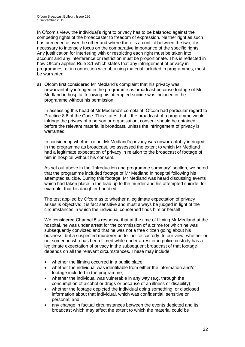In Ofcom's view, the individual's right to privacy has to be balanced against the competing rights of the broadcaster to freedom of expression. Neither right as such has precedence over the other and where there is a conflict between the two, it is necessary to intensely focus on the comparative importance of the specific rights. Any justification for interfering with or restricting each right must be taken into account and any interference or restriction must be proportionate. This is reflected in how Ofcom applies Rule 8.1 which states that any infringement of privacy in programmes, or in connection with obtaining material included in programmes, must be warranted.

a) Ofcom first considered Mr Medland's complaint that his privacy was unwarrantably infringed in the programme as broadcast because footage of Mr Medland in hospital following his attempted suicide was included in the programme without his permission.

In assessing this head of Mr Medland's complaint, Ofcom had particular regard to Practice 8.6 of the Code. This states that if the broadcast of a programme would infringe the privacy of a person or organisation, consent should be obtained before the relevant material is broadcast, unless the infringement of privacy is warranted.

In considering whether or not Mr Medland's privacy was unwarrantably infringed in the programme as broadcast, we assessed the extent to which Mr Medland had a legitimate expectation of privacy in relation to the broadcast of footage of him in hospital without his consent.

As set out above in the "Introduction and programme summary" section, we noted that the programme included footage of Mr Medland in hospital following his attempted suicide. During this footage, Mr Medland was heard discussing events which had taken place in the lead up to the murder and his attempted suicide, for example, that his daughter had died.

The test applied by Ofcom as to whether a legitimate expectation of privacy arises is objective: it is fact sensitive and must always be judged in light of the circumstances in which the individual concerned finds him or herself.

We considered Channel 5's response that at the time of filming Mr Medland at the hospital, he was under arrest for the commission of a crime for which he was subsequently convicted and that he was not a free citizen going about his business, but a suspected murderer under police custody. In our view, whether or not someone who has been filmed while under arrest or in police custody has a legitimate expectation of privacy in the subsequent broadcast of that footage depends on all the relevant circumstances. These may include:

- whether the filming occurred in a public place;
- whether the individual was identifiable from either the information and/or footage included in the programme;
- whether the individual was vulnerable in any way (e.g. through the consumption of alcohol or drugs or because of an illness or disability);
- whether the footage depicted the individual doing something, or disclosed information about that individual, which was confidential, sensitive or personal; and
- any change in factual circumstances between the events depicted and its broadcast which may affect the extent to which the material could be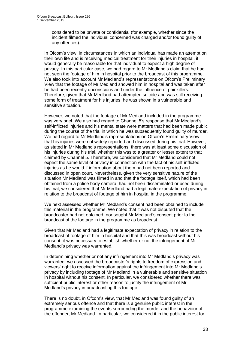considered to be private or confidential (for example, whether since the incident filmed the individual concerned was charged and/or found guilty of any offences).

In Ofcom's view, in circumstances in which an individual has made an attempt on their own life and is receiving medical treatment for their injuries in hospital, it would generally be reasonable for that individual to expect a high degree of privacy. In this particular case, we had regard to Mr Medland's claim that he had not seen the footage of him in hospital prior to the broadcast of this programme. We also took into account Mr Medland's representations on Ofcom's Preliminary View that the footage of Mr Medland showed him in hospital and was taken after he had been recently unconscious and under the influence of painkillers. Therefore, given that Mr Medland had attempted suicide and was still receiving some form of treatment for his injuries, he was shown in a vulnerable and sensitive situation.

However, we noted that the footage of Mr Medland included in the programme was very brief. We also had regard to Channel 5's response that Mr Medland's self-inflicted injuries and his mental state were matters that had been made public during the course of the trial in which he was subsequently found guilty of murder. We had regard to Mr Medland's representations on Ofcom's Preliminary View that his injuries were not widely reported and discussed during his trial. However, as stated in Mr Medland's representations, there was at least some discussion of his injuries during his trial, whether this was to a greater or lesser extent to that claimed by Channel 5. Therefore, we considered that Mr Medland could not expect the same level of privacy in connection with the fact of his self-inflicted injuries as he would if information about them had not been reported and discussed in open court. Nevertheless, given the very sensitive nature of the situation Mr Medland was filmed in and that the footage itself, which had been obtained from a police body camera, had not been disseminated or used during his trial, we considered that Mr Medland had a legitimate expectation of privacy in relation to the broadcast of footage of him in hospital in the programme.

We next assessed whether Mr Medland's consent had been obtained to include this material in the programme. We noted that it was not disputed that the broadcaster had not obtained, nor sought Mr Medland's consent prior to the broadcast of the footage in the programme as broadcast.

Given that Mr Medland had a legitimate expectation of privacy in relation to the broadcast of footage of him in hospital and that this was broadcast without his consent, it was necessary to establish whether or not the infringement of Mr Medland's privacy was warranted.

In determining whether or not any infringement into Mr Medland's privacy was warranted, we assessed the broadcaster's rights to freedom of expression and viewers' right to receive information against the infringement into Mr Medland's privacy by including footage of Mr Medland in a vulnerable and sensitive situation in hospital without his consent. In particular, we considered whether there was sufficient public interest or other reason to justify the infringement of Mr Medland's privacy in broadcasting this footage.

There is no doubt, in Ofcom's view, that Mr Medland was found guilty of an extremely serious offence and that there is a genuine public interest in the programme examining the events surrounding the murder and the behaviour of the offender, Mr Medland. In particular, we considered it in the public interest for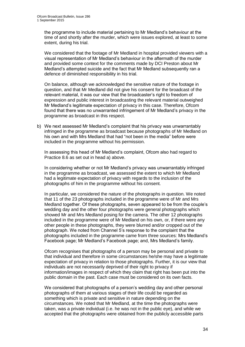the programme to include material pertaining to Mr Medland's behaviour at the time of and shortly after the murder, which were issues explored, at least to some extent, during his trial.

We considered that the footage of Mr Medland in hospital provided viewers with a visual representation of Mr Medland's behaviour in the aftermath of the murder and provided some context for the comments made by DCI Preston about Mr Medland's attempted suicide and the fact that Mr Medland subsequently ran a defence of diminished responsibility in his trial.

On balance, although we acknowledged the sensitive nature of the footage in question, and that Mr Medland did not give his consent for the broadcast of the relevant material, it was our view that the broadcaster's right to freedom of expression and public interest in broadcasting the relevant material outweighed Mr Medland's legitimate expectation of privacy in this case. Therefore, Ofcom found that there was no unwarranted infringement of Mr Medland's privacy in the programme as broadcast in this respect.

b) We next assessed Mr Medland's complaint that his privacy was unwarrantably infringed in the programme as broadcast because photographs of Mr Medland on his own and with Mrs Medland that had "not been in the media" before were included in the programme without his permission.

In assessing this head of Mr Medland's complaint, Ofcom also had regard to Practice 8.6 as set out in head a) above.

In considering whether or not Mr Medland's privacy was unwarrantably infringed in the programme as broadcast, we assessed the extent to which Mr Medland had a legitimate expectation of privacy with regards to the inclusion of the photographs of him in the programme without his consent.

In particular, we considered the nature of the photographs in question. We noted that 11 of the 23 photographs included in the programme were of Mr and Mrs Medland together. Of these photographs, seven appeared to be from the couple's wedding day and the other four photographs were general photographs which showed Mr and Mrs Medland posing for the camera. The other 12 photographs included in the programme were of Mr Medland on his own, or, if there were any other people in these photographs, they were blurred and/or cropped out of the photograph. We noted from Channel 5's response to the complaint that the photographs included in the programme came from three sources: Mrs Medland's Facebook page; Mr Medland's Facebook page; and, Mrs Medland's family.

Ofcom recognises that photographs of a person may be personal and private to that individual and therefore in some circumstances he/she may have a legitimate expectation of privacy in relation to those photographs. Further, it is our view that individuals are not necessarily deprived of their right to privacy if information/images in respect of which they claim that right has been put into the public domain in the past. Each case must be considered on its own facts.

We considered that photographs of a person's wedding day and other personal photographs of them at various stages of their life could be regarded as something which is private and sensitive in nature depending on the circumstances. We noted that Mr Medland, at the time the photographs were taken, was a private individual (i.e. he was not in the public eye), and while we accepted that the photographs were obtained from the publicly accessible parts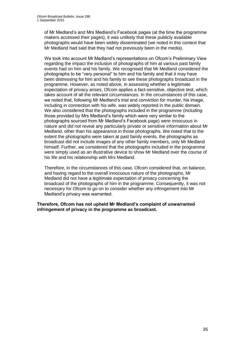of Mr Medland's and Mrs Medland's Facebook pages (at the time the programme makers accessed their pages), it was unlikely that these publicly available photographs would have been widely disseminated (we noted in this context that Mr Medland had said that they had not previously been in the media).

We took into account Mr Medland's representations on Ofcom's Preliminary View regarding the impact the inclusion of photographs of him at various past family events had on him and his family. We recognised that Mr Medland considered the photographs to be "very personal" to him and his family and that it may have been distressing for him and his family to see these photographs broadcast in the programme. However, as noted above, in assessing whether a legitimate expectation of privacy arises, Ofcom applies a fact-sensitive, objective test, which takes account of all the relevant circumstances. In the circumstances of this case, we noted that, following Mr Medland's trial and conviction for murder, his image, including in connection with his wife, was widely reported in the public domain. We also considered that the photographs included in the programme (including those provided by Mrs Medland's family which were very similar to the photographs sourced from Mr Medland's Facebook page) were innocuous in nature and did not reveal any particularly private or sensitive information about Mr Medland, other than his appearance in those photographs. We noted that to the extent the photographs were taken at past family events, the photographs as broadcast did not include images of any other family members, only Mr Medland himself. Further, we considered that the photographs included in the programme were simply used as an illustrative device to show Mr Medland over the course of his life and his relationship with Mrs Medland.

Therefore, in the circumstances of this case, Ofcom considered that, on balance, and having regard to the overall innocuous nature of the photographs, Mr Medland did not have a legitimate expectation of privacy concerning the broadcast of the photographs of him in the programme. Consequently, it was not necessary for Ofcom to go on to consider whether any infringement into Mr Medland's privacy was warranted.

**Therefore, Ofcom has not upheld Mr Medland's complaint of unwarranted infringement of privacy in the programme as broadcast.**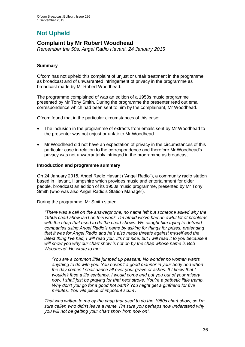# **Not Upheld**

## **Complaint by Mr Robert Woodhead**

*Remember the 50s, Angel Radio Havant, 24 January 2015*

#### **Summary**

Ofcom has not upheld this complaint of unjust or unfair treatment in the programme as broadcast and of unwarranted infringement of privacy in the programme as broadcast made by Mr Robert Woodhead.

The programme complained of was an edition of a 1950s music programme presented by Mr Tony Smith. During the programme the presenter read out email correspondence which had been sent to him by the complainant, Mr Woodhead.

Ofcom found that in the particular circumstances of this case:

- The inclusion in the programme of extracts from emails sent by Mr Woodhead to the presenter was not unjust or unfair to Mr Woodhead.
- Mr Woodhead did not have an expectation of privacy in the circumstances of this particular case in relation to the correspondence and therefore Mr Woodhead's privacy was not unwarrantably infringed in the programme as broadcast.

#### **Introduction and programme summary**

On 24 January 2015, Angel Radio Havant ("Angel Radio"), a community radio station based in Havant, Hampshire which provides music and entertainment for older people, broadcast an edition of its 1950s music programme, presented by Mr Tony Smith (who was also Angel Radio's Station Manager).

During the programme, Mr Smith stated:

*"There was a call on the answerphone, no name left but someone asked why the 1950s chart show isn't on this week. I'm afraid we've had an awful lot of problems with the chap that used to do the chart shows. We caught him trying to defraud companies using Angel Radio's name by asking for things for prizes, pretending that it was for Angel Radio and he's also made threats against myself and the latest thing I've had, I will read you. It's not nice, but I will read it to you because it will show you why our chart show is not on by the chap whose name is Bob Woodhead. He wrote to me:*

*'You are a common little jumped up peasant. No wonder no woman wants anything to do with you. You haven't a good manner in your body and when the day comes I shall dance all over your grave or ashes. If I knew that I wouldn't face a life sentence, I would come and put you out of your misery now. I shall just be praying for that next stroke. You're a pathetic little tramp. Why don't you go for a good hot bath? You might get a girlfriend for five minutes. You vile piece of impotent scum'.*

*That was written to me by the chap that used to do the 1950s chart show, so I'm sure caller, who didn't leave a name, I'm sure you perhaps now understand why you will not be getting your chart show from now on".*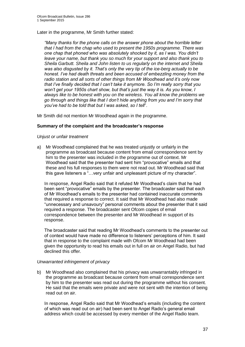Later in the programme, Mr Smith further stated:

*"Many thanks for the phone calls on the answer phone about the horrible letter that I had from the chap who used to present the 1950s programme. There was one chap that phoned who was absolutely shocked by it, as I was. You didn't leave your name, but thank you so much for your support and also thank you to Sheila Garbutt. Sheila and John listen to us regularly on the internet and Sheila was also disgusted by it. That's only the very tip of the ice-berg actually to be honest. I've had death threats and been accused of embezzling money from the radio station and all sorts of other things from Mr Woodhead and it's only now that I've finally decided that I can't take it anymore. So I'm really sorry that you won't get your 1950s chart show, but that's just the way it is. As you know, I always like to be honest with you on the wireless. You all know the problems we go through and things like that I don't hide anything from you and I'm sorry that you've had to be told that but I was asked, so I tell*".

Mr Smith did not mention Mr Woodhead again in the programme.

#### **Summary of the complaint and the broadcaster's response**

#### *Unjust or unfair treatment*

a) Mr Woodhead complained that he was treated unjustly or unfairly in the programme as broadcast because content from email correspondence sent by him to the presenter was included in the programme out of context. Mr Woodhead said that the presenter had sent him "provocative" emails and that these and his full responses to them were not read out. Mr Woodhead said that this gave listeners a "…very unfair and unpleasant picture of my character".

In response, Angel Radio said that it refuted Mr Woodhead's claim that he had been sent "provocative" emails by the presenter. The broadcaster said that each of Mr Woodhead's emails to the presenter had contained inaccurate comments that required a response to correct. It said that Mr Woodhead had also made "unnecessary and unsavoury" personal comments about the presenter that it said required a response. The broadcaster sent Ofcom copies of email correspondence between the presenter and Mr Woodhead in support of its response.

The broadcaster said that reading Mr Woodhead's comments to the presenter out of context would have made no difference to listeners' perceptions of him. It said that in response to the complaint made with Ofcom Mr Woodhead had been given the opportunity to read his emails out in full on air on Angel Radio, but had declined this offer.

#### *Unwarranted infringement of privacy*

b) Mr Woodhead also complained that his privacy was unwarrantably infringed in the programme as broadcast because content from email correspondence sent by him to the presenter was read out during the programme without his consent. He said that the emails were private and were not sent with the intention of being read out on air.

In response, Angel Radio said that Mr Woodhead's emails (including the content of which was read out on air) had been sent to Angel Radio's general email address which could be accessed by every member of the Angel Radio team.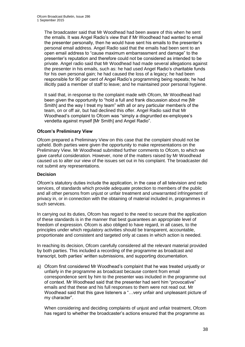The broadcaster said that Mr Woodhead had been aware of this when he sent the emails. It was Angel Radio's view that if Mr Woodhead had wanted to email the presenter personally, then he would have sent his emails to the presenter's personal email address. Angel Radio said that the emails had been sent to an open email address to "cause maximum embarrassment and damage" to the presenter's reputation and therefore could not be considered as intended to be private. Angel radio said that Mr Woodhead had made several allegations against the presenter in his emails, such as: he had used Angel Radio's charitable funds for his own personal gain; he had caused the loss of a legacy; he had been responsible for 90 per cent of Angel Radio's programming being repeats; he had illicitly paid a member of staff to leave; and he maintained poor personal hygiene.

It said that, in response to the complaint made with Ofcom, Mr Woodhead had been given the opportunity to "hold a full and frank discussion about me [Mr Smith] and the way I treat my team" with all or any particular member/s of the team, on or off air, but had declined this offer. Angel Radio said that Mr Woodhead's complaint to Ofcom was "simply a disgruntled ex-employee's vendetta against myself [Mr Smith] and Angel Radio".

#### **Ofcom's Preliminary View**

Ofcom prepared a Preliminary View on this case that the complaint should not be upheld. Both parties were given the opportunity to make representations on the Preliminary View. Mr Woodhead submitted further comments to Ofcom, to which we gave careful consideration. However, none of the matters raised by Mr Woodhead caused us to alter our view of the issues set out in his complaint. The broadcaster did not submit any representations.

#### **Decision**

Ofcom's statutory duties include the application, in the case of all television and radio services, of standards which provide adequate protection to members of the public and all other persons from unjust or unfair treatment and unwarranted infringement of privacy in, or in connection with the obtaining of material included in, programmes in such services.

In carrying out its duties, Ofcom has regard to the need to secure that the application of these standards is in the manner that best guarantees an appropriate level of freedom of expression. Ofcom is also obliged to have regard, in all cases, to the principles under which regulatory activities should be transparent, accountable, proportionate and consistent and targeted only at cases in which action is needed.

In reaching its decision, Ofcom carefully considered all the relevant material provided by both parties. This included a recording of the programme as broadcast and transcript, both parties' written submissions, and supporting documentation.

a) Ofcom first considered Mr Woodhead's complaint that he was treated unjustly or unfairly in the programme as broadcast because content from email correspondence sent by him to the presenter was included in the programme out of context. Mr Woodhead said that the presenter had sent him "provocative" emails and that these and his full responses to them were not read out. Mr Woodhead said that this gave listeners a "…very unfair and unpleasant picture of my character".

When considering and deciding complaints of unjust and unfair treatment, Ofcom has regard to whether the broadcaster's actions ensured that the programme as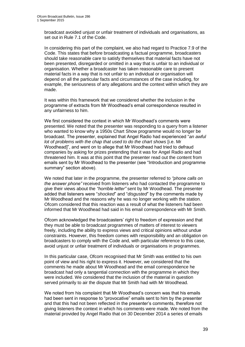broadcast avoided unjust or unfair treatment of individuals and organisations, as set out in Rule 7.1 of the Code.

In considering this part of the complaint, we also had regard to Practice 7.9 of the Code. This states that before broadcasting a factual programme, broadcasters should take reasonable care to satisfy themselves that material facts have not been presented, disregarded or omitted in a way that is unfair to an individual or organisation. Whether a broadcaster has taken reasonable care to present material facts in a way that is not unfair to an individual or organisation will depend on all the particular facts and circumstances of the case including, for example, the seriousness of any allegations and the context within which they are made.

It was within this framework that we considered whether the inclusion in the programme of extracts from Mr Woodhead's email correspondence resulted in any unfairness to him.

We first considered the context in which Mr Woodhead's comments were presented. We noted that the presenter was responding to a query from a listener who wanted to know why a 1950s Chart Show programme would no longer be broadcast. The presenter, explained that Angel Radio had experienced "*an awful lot of problems with the chap that used to do the chart shows* [i.e. Mr Woodhead]", and went on to allege that Mr Woodhead had tried to defraud companies by asking for prizes pretending that it was for Angel Radio and had threatened him. It was at this point that the presenter read out the content from emails sent by Mr Woodhead to the presenter (see "Introduction and programme summary" section above).

We noted that later in the programme, the presenter referred to *"phone calls on the answer phone"* received from listeners who had contacted the programme to give their views about the *"horrible letter"* sent by Mr Woodhead. The presenter added that listeners were "*shocked*" and "*disgusted*" by the comments made by Mr Woodhead and the reasons why he was no longer working with the station. Ofcom considered that this reaction was a result of what the listeners had been informed that Mr Woodhead had said in his email correspondence with Mr Smith.

Ofcom acknowledged the broadcasters' right to freedom of expression and that they must be able to broadcast programmes of matters of interest to viewers freely, including the ability to express views and critical opinions without undue constraints. However, this freedom comes with responsibility and an obligation on broadcasters to comply with the Code and, with particular reference to this case, avoid unjust or unfair treatment of individuals or organisations in programmes.

In this particular case, Ofcom recognised that Mr Smith was entitled to his own point of view and his right to express it. However, we considered that the comments he made about Mr Woodhead and the email correspondence he broadcast had only a tangential connection with the programme in which they were included. We considered that the inclusion of the material in question served primarily to air the dispute that Mr Smith had with Mr Woodhead.

We noted from his complaint that Mr Woodhead's concern was that his emails had been sent in response to "provocative" emails sent to him by the presenter and that this had not been reflected in the presenter's comments, therefore not giving listeners the context in which his comments were made. We noted from the material provided by Angel Radio that on 30 December 2014 a series of emails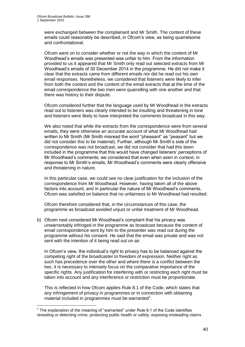1

were exchanged between the complainant and Mr Smith. The content of these emails could reasonably be described, in Ofcom's view, as being quarrelsome and confrontational.

Ofcom went on to consider whether or not the way in which the content of Mr Woodhead's emails was presented was unfair to him. From the information provided to us it appeared that Mr Smith only read out selected extracts from Mr Woodhead's emails of 30 December 2014 in the programme. He did not make it clear that the extracts came from different emails nor did he read out his own email responses. Nonetheless, we considered that listeners were likely to infer from both the context and the content of the email extracts that at the time of the email correspondence the two men were quarrelling with one another and that there was history to their dispute.

Ofcom considered further that the language used by Mr Woodhead in the extracts read out to listeners was clearly intended to be insulting and threatening in tone and listeners were likely to have interpreted the comments broadcast in this way.

We also noted that while the extracts from the correspondence were from several emails, they were otherwise an accurate account of what Mr Woodhead had written to Mr Smith (Mr Smith misread the word "pheasant" as "peasant" but we did not consider this to be material). Further, although Mr Smith's side of the correspondence was not broadcast, we did not consider that had this been included in the programme that this would have changed listeners' perceptions of Mr Woodhead's comments; we considered that even when seen in context, in response to Mr Smith's emails, Mr Woodhead's comments were clearly offensive and threatening in nature.

In this particular case, we could see no clear justification for the inclusion of the correspondence from Mr Woodhead. However, having taken all of the above factors into account, and in particular the nature of Mr Woodhead's comments, Ofcom was satisfied on balance that no unfairness to Mr Woodhead had resulted.

Ofcom therefore considered that, in the circumstances of this case, the programme as broadcast avoided unjust or unfair treatment of Mr Woodhead.

b) Ofcom next considered Mr Woodhead's complaint that his privacy was unwarrantably infringed in the programme as broadcast because the content of email correspondence sent by him to the presenter was read out during the programme without his consent. He said that the email was private and was not sent with the intention of it being read out on air.

In Ofcom's view, the individual's right to privacy has to be balanced against the competing right of the broadcaster to freedom of expression. Neither right as such has precedence over the other and where there is a conflict between the two, it is necessary to intensely focus on the comparative importance of the specific rights. Any justification for interfering with or restricting each right must be taken into account and any interference or restriction must be proportionate.

This is reflected in how Ofcom applies Rule 8.1 of the Code, which states that any infringement of privacy in programmes or in connection with obtaining material included in programmes must be warranted $1$ .

 $1$  The explanation of the meaning of "warranted" under Rule 8.1 of the Code identifies revealing or detecting crime, protecting public health or safety, exposing misleading claims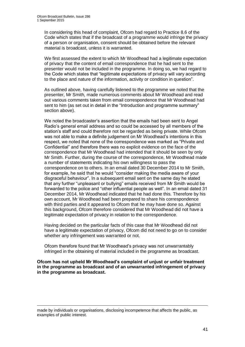In considering this head of complaint, Ofcom had regard to Practice 8.6 of the Code which states that if the broadcast of a programme would infringe the privacy of a person or organisation, consent should be obtained before the relevant material is broadcast, unless it is warranted.

We first assessed the extent to which Mr Woodhead had a legitimate expectation of privacy that the content of email correspondence that he had sent to the presenter would not be included in the programme. In doing so, we had regard to the Code which states that "legitimate expectations of privacy will vary according to the place and nature of the information, activity or condition in question".

As outlined above, having carefully listened to the programme we noted that the presenter, Mr Smith, made numerous comments about Mr Woodhead and read out various comments taken from email correspondence that Mr Woodhead had sent to him (as set out in detail in the "Introduction and programme summary" section above).

We noted the broadcaster's assertion that the emails had been sent to Angel Radio's general email address and so could be accessed by all members of the station's staff and could therefore not be regarded as being private. While Ofcom was not able to make a definite judgement on Mr Woodhead's intentions in this respect, we noted that none of the correspondence was marked as "Private and Confidential" and therefore there was no explicit evidence on the face of the correspondence that Mr Woodhead had intended that it should be seen by only Mr Smith. Further, during the course of the correspondence, Mr Woodhead made a number of statements indicating his own willingness to pass the correspondence on to others. In an email dated 30 December 2014 to Mr Smith, for example, he said that he would "consider making the media aware of your disgraceful behaviour". In a subsequent email sent on the same day he stated that any further "unpleasant or bullying" emails received from Mr Smith would be forwarded to the police and "other influential people as well". In an email dated 31 December 2014, Mr Woodhead indicated that he had done this. Therefore by his own account, Mr Woodhead had been prepared to share his correspondence with third parties and it appeared to Ofcom that he may have done so. Against this background, Ofcom therefore considered that Mr Woodhead did not have a legitimate expectation of privacy in relation to the correspondence.

Having decided on the particular facts of this case that Mr Woodhead did not have a legitimate expectation of privacy, Ofcom did not need to go on to consider whether any infringement was warranted or not.

Ofcom therefore found that Mr Woodhead's privacy was not unwarrantably infringed in the obtaining of material included in the programme as broadcast.

**Ofcom has not upheld Mr Woodhead's complaint of unjust or unfair treatment in the programme as broadcast and of an unwarranted infringement of privacy in the programme as broadcast.**

made by individuals or organisations, disclosing incompetence that affects the public, as examples of public interest.

1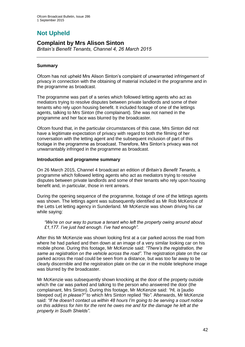# **Not Upheld**

## **Complaint by Mrs Alison Sinton**

*Britain's Benefit Tenants, Channel 4, 26 March 2015*

#### **Summary**

Ofcom has not upheld Mrs Alison Sinton's complaint of unwarranted infringement of privacy in connection with the obtaining of material included in the programme and in the programme as broadcast.

The programme was part of a series which followed letting agents who act as mediators trying to resolve disputes between private landlords and some of their tenants who rely upon housing benefit. It included footage of one of the lettings agents, talking to Mrs Sinton (the complainant). She was not named in the programme and her face was blurred by the broadcaster.

Ofcom found that, in the particular circumstances of this case, Mrs Sinton did not have a legitimate expectation of privacy with regard to both the filming of her conversation with the letting agent and the subsequent inclusion of part of this footage in the programme as broadcast. Therefore, Mrs Sinton's privacy was not unwarrantably infringed in the programme as broadcast.

#### **Introduction and programme summary**

On 26 March 2015, Channel 4 broadcast an edition of *Britain's Benefit Tenants*, a programme which followed letting agents who act as mediators trying to resolve disputes between private landlords and some of their tenants who rely upon housing benefit and, in particular, those in rent arrears.

During the opening sequence of the programme, footage of one of the lettings agents was shown. The lettings agent was subsequently identified as Mr Rob McKenzie of the Letts Let letting agency in Sunderland. Mr McKenzie was shown driving his car while saying:

*"We're on our way to pursue a tenant who left the property owing around about £1,177. I've just had enough. I've had enough".* 

After this Mr McKenzie was shown looking first at a car parked across the road from where he had parked and then down at an image of a very similar looking car on his mobile phone. During this footage, Mr McKenzie said: *"There's the registration, the same as registration on the vehicle across the road".* The registration plate on the car parked across the road could be seen from a distance, but was too far away to be clearly discernible and the registration plate on the car in the mobile telephone image was blurred by the broadcaster.

Mr McKenzie was subsequently shown knocking at the door of the property outside which the car was parked and talking to the person who answered the door (the complainant, Mrs Sinton). During this footage, Mr McKenzie said: *"Hi, is* [audio bleeped out] *in please?"* to which Mrs Sinton replied *"No"*. Afterwards, Mr McKenzie said: *"If he doesn't contact us within 48 hours I'm going to be serving a court notice on this address for him for the rent he owes me and for the damage he left at the property in South Shields"*.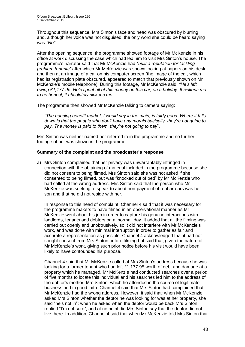Throughout this sequence, Mrs Sinton's face and head was obscured by blurring and, although her voice was not disguised, the only word she could be heard saying was *"No"*.

After the opening sequence, the programme showed footage of Mr McKenzie in his office at work discussing the case which had led him to visit Mrs Sinton's house. The programme's narrator said that Mr McKenzie had *"built a reputation for tackling problem tenants"* after which Mr McKenzie was shown looking at papers on his desk and then at an image of a car on his computer screen (the image of the car, which had its registration plate obscured, appeared to match that previously shown on Mr McKenzie's mobile telephone). During this footage, Mr McKenzie said: *"He's left owing £1,177.95. He's spent all of this money on this car, on a holiday. It sickens me to be honest, it absolutely sickens me"*.

The programme then showed Mr McKenzie talking to camera saying:

*"The housing benefit market, I would say in the main, is fairly good. Where it falls down is that the people who don't have any morals basically, they're not going to pay. The money is paid to them, they're not going to pay*".

Mrs Sinton was neither named nor referred to in the programme and no further footage of her was shown in the programme.

#### **Summary of the complaint and the broadcaster's response**

a) Mrs Sinton complained that her privacy was unwarrantably infringed in connection with the obtaining of material included in the programme because she did not consent to being filmed. Mrs Sinton said she was not asked if she consented to being filmed, but was "knocked out of bed" by Mr McKenzie who had called at the wrong address. Mrs Sinton said that the person who Mr McKenzie was seeking to speak to about non-payment of rent arrears was her son and that he did not reside with her.

In response to this head of complaint, Channel 4 said that it was necessary for the programme makers to have filmed in an observational manner as Mr McKenzie went about his job in order to capture his genuine interactions with landlords, tenants and debtors on a 'normal' day. It added that all the filming was carried out openly and unobtrusively, so it did not interfere with Mr McKenzie's work, and was done with minimal interruption in order to gather as fair and accurate a representation as possible. Channel 4 acknowledged that it had not sought consent from Mrs Sinton before filming but said that, given the nature of Mr McKenzie's work, giving such prior notice before his visit would have been likely to have confounded his purpose.

Channel 4 said that Mr McKenzie called at Mrs Sinton's address because he was looking for a former tenant who had left £1,177.95 worth of debt and damage at a property which he managed. Mr McKenzie had conducted searches over a period of five months to locate this individual and his searches led him to the address of the debtor's mother, Mrs Sinton, which he attended in the course of legitimate business and in good faith. Channel 4 said that Mrs Sinton had complained that Mr McKenzie had the wrong address. However, it said that: when Mr McKenzie asked Mrs Sinton whether the debtor he was looking for was at her property, she said "he's not in"; when he asked when the debtor would be back Mrs Sinton replied "I'm not sure"; and at no point did Mrs Sinton say that the debtor did not live there. In addition, Channel 4 said that when Mr McKenzie told Mrs Sinton that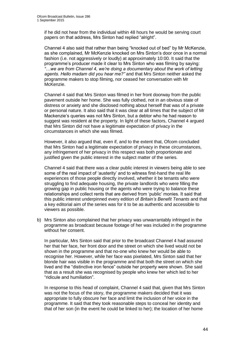if he did not hear from the individual within 48 hours he would be serving court papers on that address, Mrs Sinton had replied "alright".

Channel 4 also said that rather than being "knocked out of bed" by Mr McKenzie, as she complained, Mr McKenzie knocked on Mrs Sinton's door once in a normal fashion (i.e. not aggressively or loudly) at approximately 10:00. It said that the programme's producer made it clear to Mrs Sinton who was filming by saying: *"*…*we are from Channel 4, we're doing a documentary about the work of letting agents. Hello madam did you hear me?"* and that Mrs Sinton neither asked the programme makers to stop filming, nor ceased her conversation with Mr McKenzie.

Channel 4 said that Mrs Sinton was filmed in her front doorway from the public pavement outside her home. She was fully clothed, not in an obvious state of distress or anxiety and she disclosed nothing about herself that was of a private or personal nature. It also said that it was clear at all times that the subject of Mr Mackenzie's queries was not Mrs Sinton, but a debtor who he had reason to suggest was resident at the property. In light of these factors, Channel 4 argued that Mrs Sinton did not have a legitimate expectation of privacy in the circumstances in which she was filmed.

However, it also argued that, even if, and to the extent that, Ofcom concluded that Mrs Sinton had a legitimate expectation of privacy in these circumstances, any infringement of her privacy in this respect was both proportionate and justified given the public interest in the subject matter of the series.

Channel 4 said that there was a clear public interest in viewers being able to see some of the real impact of 'austerity' and to witness first-hand the real life experiences of those people directly involved, whether it be tenants who were struggling to find adequate housing, the private landlords who were filling the growing gap in public housing or the agents who were trying to balance these relationships and collect rents that are derived from 'public' monies. It said that this public interest underpinned every edition of *Britain's Benefit Tenants* and that a key editorial aim of the series was for it to be as authentic and accessible to viewers as possible.

b) Mrs Sinton also complained that her privacy was unwarrantably infringed in the programme as broadcast because footage of her was included in the programme without her consent.

In particular, Mrs Sinton said that prior to the broadcast Channel 4 had assured her that her face, her front door and the street on which she lived would not be shown in the programme and that no-one who knew her would be able to recognise her. However, while her face was pixelated, Mrs Sinton said that her blonde hair was visible in the programme and that both the street on which she lived and the "distinctive iron fence" outside her property were shown. She said that as a result she was recognised by people who knew her which led to her "ridicule and humiliation".

In response to this head of complaint, Channel 4 said that, given that Mrs Sinton was not the focus of the story, the programme makers decided that it was appropriate to fully obscure her face and limit the inclusion of her voice in the programme. It said that they took reasonable steps to conceal her identity and that of her son (in the event he could be linked to her); the location of her home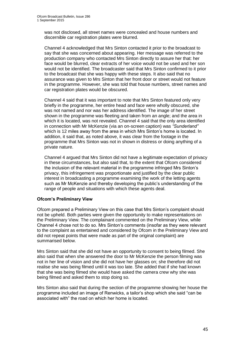was not disclosed, all street names were concealed and house numbers and discernible car registration plates were blurred.

Channel 4 acknowledged that Mrs Sinton contacted it prior to the broadcast to say that she was concerned about appearing. Her message was referred to the production company who contacted Mrs Sinton directly to assure her that: her face would be blurred, clear extracts of her voice would not be used and her son would not be identified. The broadcaster said that Mrs Sinton confirmed to it prior to the broadcast that she was happy with these steps. It also said that no assurance was given to Mrs Sinton that her front door or street would not feature in the programme. However, she was told that house numbers, street names and car registration plates would be obscured.

Channel 4 said that it was important to note that Mrs Sinton featured only very briefly in the programme, her entire head and face were wholly obscured, she was not named and nor was her address identified. The image of her street shown in the programme was fleeting and taken from an angle; and the area in which it is located, was not revealed. Channel 4 said that the only area identified in connection with Mr McKenzie (via an on-screen caption) was *"Sunderland"* which is 12 miles away from the area in which Mrs Sinton's home is located. In addition, it said that, as noted above, it was clear from the footage in the programme that Mrs Sinton was not in shown in distress or doing anything of a private nature.

Channel 4 argued that Mrs Sinton did not have a legitimate expectation of privacy in these circumstances, but also said that, to the extent that Ofcom considered the inclusion of the relevant material in the programme infringed Mrs Sinton's privacy, this infringement was proportionate and justified by the clear public interest in broadcasting a programme examining the work of the letting agents such as Mr McKenzie and thereby developing the public's understanding of the range of people and situations with which these agents deal.

#### **Ofcom's Preliminary View**

Ofcom prepared a Preliminary View on this case that Mrs Sinton's complaint should not be upheld. Both parties were given the opportunity to make representations on the Preliminary View. The complainant commented on the Preliminary View, while Channel 4 chose not to do so. Mrs Sinton's comments (insofar as they were relevant to the complaint as entertained and considered by Ofcom in the Preliminary View and did not repeat points that were made as part of the original complaint) are summarised below.

Mrs Sinton said that she did not have an opportunity to consent to being filmed. She also said that when she answered the door to Mr McKenzie the person filming was not in her line of vision and she did not have her glasses on; she therefore did not realise she was being filmed until it was too late. She added that if she had known that she was being filmed she would have asked the camera crew why she was being filmed and asked them to stop doing so.

Mrs Sinton also said that during the section of the programme showing her house the programme included an image of Renwicks, a tailor's shop which she said "can be associated with" the road on which her home is located.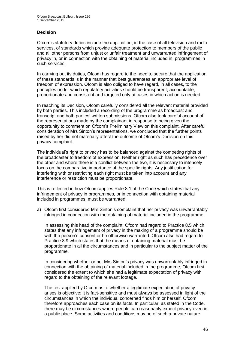#### **Decision**

Ofcom's statutory duties include the application, in the case of all television and radio services, of standards which provide adequate protection to members of the public and all other persons from unjust or unfair treatment and unwarranted infringement of privacy in, or in connection with the obtaining of material included in, programmes in such services.

In carrying out its duties, Ofcom has regard to the need to secure that the application of these standards is in the manner that best guarantees an appropriate level of freedom of expression. Ofcom is also obliged to have regard, in all cases, to the principles under which regulatory activities should be transparent, accountable, proportionate and consistent and targeted only at cases in which action is needed.

In reaching its Decision, Ofcom carefully considered all the relevant material provided by both parties. This included a recording of the programme as broadcast and transcript and both parties' written submissions. Ofcom also took careful account of the representations made by the complainant in response to being given the opportunity to comment on Ofcom's Preliminary View on this complaint. After careful consideration of Mrs Sinton's representations, we concluded that the further points raised by her did not materially affect the outcome of Ofcom's Decision on this privacy complaint.

The individual's right to privacy has to be balanced against the competing rights of the broadcaster to freedom of expression. Neither right as such has precedence over the other and where there is a conflict between the two, it is necessary to intensely focus on the comparative importance of the specific rights. Any justification for interfering with or restricting each right must be taken into account and any interference or restriction must be proportionate.

This is reflected in how Ofcom applies Rule 8.1 of the Code which states that any infringement of privacy in programmes, or in connection with obtaining material included in programmes, must be warranted.

a) Ofcom first considered Mrs Sinton's complaint that her privacy was unwarrantably infringed in connection with the obtaining of material included in the programme.

In assessing this head of the complaint, Ofcom had regard to Practice 8.5 which states that any infringement of privacy in the making of a programme should be with the person's consent or be otherwise warranted. Ofcom also had regard to Practice 8.9 which states that the means of obtaining material must be proportionate in all the circumstances and in particular to the subject matter of the programme.

In considering whether or not Mrs Sinton's privacy was unwarrantably infringed in connection with the obtaining of material included in the programme, Ofcom first considered the extent to which she had a legitimate expectation of privacy with regard to the obtaining of the relevant footage.

The test applied by Ofcom as to whether a legitimate expectation of privacy arises is objective: it is fact-sensitive and must always be assessed in light of the circumstances in which the individual concerned finds him or herself. Ofcom therefore approaches each case on its facts. In particular, as stated in the Code, there may be circumstances where people can reasonably expect privacy even in a public place. Some activities and conditions may be of such a private nature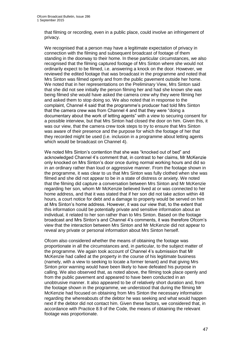that filming or recording, even in a public place, could involve an infringement of privacy.

We recognised that a person may have a legitimate expectation of privacy in connection with the filming and subsequent broadcast of footage of them standing in the doorway to their home. In these particular circumstances, we also recognised that the filming captured footage of Mrs Sinton where she would not ordinarily expect to be filmed, i.e. answering a knock on the door. However, we reviewed the edited footage that was broadcast in the programme and noted that Mrs Sinton was filmed openly and from the public pavement outside her home. We noted that in her representations on the Preliminary View, Mrs Sinton said that she did not see initially the person filming her and had she known she was being filmed she would have asked the camera crew why they were filming her and asked them to stop doing so. We also noted that in response to the complaint, Channel 4 said that the programme's producer had told Mrs Sinton that the camera crew was from Channel 4 and that they were "doing a documentary about the work of letting agents" with a view to securing consent for a possible interview, but that Mrs Sinton had closed the door on him. Given this, it was our view, that the camera crew took steps to try to ensure that Mrs Sinton was aware of their presence and the purpose for which the footage of her that they recorded might be used (i.e. inclusion in a programme about letting agents which would be broadcast on Channel 4).

We noted Mrs Sinton's contention that she was "knocked out of bed" and acknowledged Channel 4's comment that, in contrast to her claims, Mr McKenzie only knocked on Mrs Sinton's door once during normal working hours and did so in an ordinary rather than loud or aggressive manner. From the footage shown in the programme, it was clear to us that Mrs Sinton was fully clothed when she was filmed and she did not appear to be in a state of distress or anxiety. We noted that the filming did capture a conversation between Mrs Sinton and Mr McKenzie regarding her son, whom Mr McKenzie believed lived at or was connected to her home address, and that it was stated that if her son did not take action within 48 hours, a court notice for debt and a damage to property would be served on him at Mrs Sinton's home address. However, it was our view that, to the extent that this information could be potentially private and sensitive information about an individual, it related to her son rather than to Mrs Sinton. Based on the footage broadcast and Mrs Sinton's and Channel 4's comments, it was therefore Ofcom's view that the interaction between Mrs Sinton and Mr McKenzie did not appear to reveal any private or personal information about Mrs Sinton herself.

Ofcom also considered whether the means of obtaining the footage was proportionate in all the circumstances and, in particular, to the subject matter of the programme. We again took account of Channel 4's submission that Mr McKenzie had called at the property in the course of his legitimate business (namely, with a view to seeking to locate a former tenant) and that giving Mrs Sinton prior warning would have been likely to have defeated his purpose in calling. We also observed that, as noted above, the filming took place openly and from the public pavement and appeared to have been conducted in an unobtrusive manner. It also appeared to be of relatively short duration and, from the footage shown in the programme, we understood that during the filming Mr McKenzie had focused on obtaining from Mrs Sinton the necessary information regarding the whereabouts of the debtor he was seeking and what would happen next if the debtor did not contact him. Given these factors, we considered that, in accordance with Practice 8.9 of the Code, the means of obtaining the relevant footage was proportionate.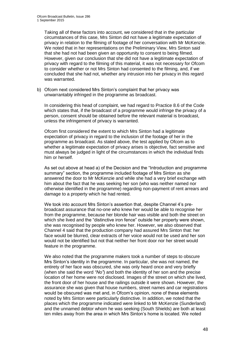Taking all of these factors into account, we considered that in the particular circumstances of this case, Mrs Sinton did not have a legitimate expectation of privacy in relation to the filming of footage of her conversation with Mr McKenzie. We noted that in her representations on the Preliminary View, Mrs Sinton said that she had not had been given an opportunity to consent to being filmed. However, given our conclusion that she did not have a legitimate expectation of privacy with regard to the filming of this material, it was not necessary for Ofcom to consider whether or not Mrs Sinton had consented to the filming, and, if we concluded that she had not, whether any intrusion into her privacy in this regard was warranted.

b) Ofcom next considered Mrs Sinton's complaint that her privacy was unwarrantably infringed in the programme as broadcast.

In considering this head of complaint, we had regard to Practice 8.6 of the Code which states that, if the broadcast of a programme would infringe the privacy of a person, consent should be obtained before the relevant material is broadcast, unless the infringement of privacy is warranted.

Ofcom first considered the extent to which Mrs Sinton had a legitimate expectation of privacy in regard to the inclusion of the footage of her in the programme as broadcast. As stated above, the test applied by Ofcom as to whether a legitimate expectation of privacy arises is objective, fact sensitive and must always be judged in light of the circumstances in which the individual finds him or herself.

As set out above at head a) of the Decision and the "Introduction and programme summary" section, the programme included footage of Mrs Sinton as she answered the door to Mr McKenzie and while she had a very brief exchange with him about the fact that he was seeking her son (who was neither named nor otherwise identified in the programme) regarding non-payment of rent arrears and damage to a property which he had rented.

We took into account Mrs Sinton's assertion that, despite Channel 4's prebroadcast assurance that no-one who knew her would be able to recognise her from the programme, because her blonde hair was visible and both the street on which she lived and the "distinctive iron fence" outside her property were shown, she was recognised by people who knew her. However, we also observed that Channel 4 said that the production company had assured Mrs Sinton that: her face would be blurred, clear extracts of her voice would not be used and her son would not be identified but not that neither her front door nor her street would feature in the programme.

We also noted that the programme makers took a number of steps to obscure Mrs Sinton's identity in the programme. In particular, she was not named, the entirety of her face was obscured, she was only heard once and very briefly (when she said the word *"No"*) and both the identity of her son and the precise location of her home were not disclosed. Images of the street on which she lived, the front door of her house and the railings outside it were shown. However, the assurance she was given that house numbers, street names and car registrations would be obscured was met and, in Ofcom's opinion, none of these elements noted by Mrs Sinton were particularly distinctive. In addition, we noted that the places which the programme indicated were linked to Mr McKenzie (Sunderland) and the unnamed debtor whom he was seeking (South Shields) are both at least ten miles away from the area in which Mrs Sinton's home is located. We noted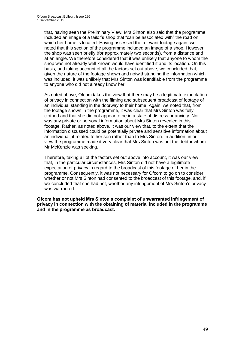that, having seen the Preliminary View, Mrs Sinton also said that the programme included an image of a tailor's shop that "can be associated with" the road on which her home is located. Having assessed the relevant footage again, we noted that this section of the programme included an image of a shop. However, the shop was seen briefly (for approximately two seconds), from a distance and at an angle. We therefore considered that it was unlikely that anyone to whom the shop was not already well known would have identified it and its location. On this basis, and taking account of all the factors set out above, we concluded that, given the nature of the footage shown and notwithstanding the information which was included, it was unlikely that Mrs Sinton was identifiable from the programme to anyone who did not already know her.

As noted above, Ofcom takes the view that there may be a legitimate expectation of privacy in connection with the filming and subsequent broadcast of footage of an individual standing in the doorway to their home. Again, we noted that, from the footage shown in the programme, it was clear that Mrs Sinton was fully clothed and that she did not appear to be in a state of distress or anxiety. Nor was any private or personal information about Mrs Sinton revealed in this footage. Rather, as noted above, it was our view that, to the extent that the information discussed could be potentially private and sensitive information about an individual, it related to her son rather than to Mrs Sinton. In addition, in our view the programme made it very clear that Mrs Sinton was not the debtor whom Mr McKenzie was seeking.

Therefore, taking all of the factors set out above into account, it was our view that, in the particular circumstances, Mrs Sinton did not have a legitimate expectation of privacy in regard to the broadcast of this footage of her in the programme. Consequently, it was not necessary for Ofcom to go on to consider whether or not Mrs Sinton had consented to the broadcast of this footage, and, if we concluded that she had not, whether any infringement of Mrs Sinton's privacy was warranted.

**Ofcom has not upheld Mrs Sinton's complaint of unwarranted infringement of privacy in connection with the obtaining of material included in the programme and in the programme as broadcast.**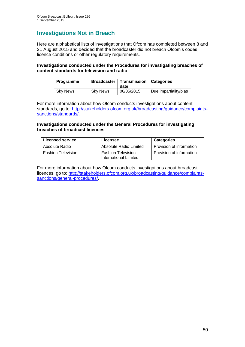## **Investigations Not in Breach**

Here are alphabetical lists of investigations that Ofcom has completed between 8 and 21 August 2015 and decided that the broadcaster did not breach Ofcom's codes, licence conditions or other regulatory requirements.

#### **Investigations conducted under the Procedures for investigating breaches of content standards for television and radio**

| <b>Programme</b> | <b>Broadcaster</b> | Transmission<br>date | <b>Categories</b>     |
|------------------|--------------------|----------------------|-----------------------|
| <b>Sky News</b>  | <b>Sky News</b>    | 06/05/2015           | Due impartiality/bias |

For more information about how Ofcom conducts investigations about content standards, go to: [http://stakeholders.ofcom.org.uk/broadcasting/guidance/complaints](http://stakeholders.ofcom.org.uk/broadcasting/guidance/complaints-sanctions/standards/)[sanctions/standards/.](http://stakeholders.ofcom.org.uk/broadcasting/guidance/complaints-sanctions/standards/)

#### **Investigations conducted under the General Procedures for investigating breaches of broadcast licences**

| <b>Licensed service</b>   | Licensee                                                  | <b>Categories</b>        |
|---------------------------|-----------------------------------------------------------|--------------------------|
| Absolute Radio            | Absolute Radio Limited                                    | Provision of information |
| <b>Fashion Television</b> | <b>Fashion Television</b><br><b>International Limited</b> | Provision of information |

For more information about how Ofcom conducts investigations about broadcast licences, go to: [http://stakeholders.ofcom.org.uk/broadcasting/guidance/complaints](http://stakeholders.ofcom.org.uk/broadcasting/guidance/complaints-sanctions/general-procedures/)[sanctions/general-procedures/.](http://stakeholders.ofcom.org.uk/broadcasting/guidance/complaints-sanctions/general-procedures/)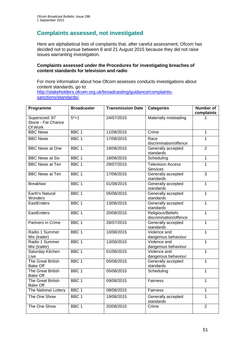## **Complaints assessed, not investigated**

Here are alphabetical lists of complaints that, after careful assessment, Ofcom has decided not to pursue between 8 and 21 August 2015 because they did not raise issues warranting investigation.

#### **Complaints assessed under the Procedures for investigating breaches of content standards for television and radio**

For more information about how Ofcom assesses conducts investigations about content standards, go to: [http://stakeholders.ofcom.org.uk/broadcasting/guidance/complaints](http://stakeholders.ofcom.org.uk/broadcasting/guidance/complaints-sanctions/standards/)[sanctions/standards/.](http://stakeholders.ofcom.org.uk/broadcasting/guidance/complaints-sanctions/standards/)

| Programme                                       | <b>Broadcaster</b> | <b>Transmission Date</b> | <b>Categories</b>                           | <b>Number of</b><br>complaints |
|-------------------------------------------------|--------------------|--------------------------|---------------------------------------------|--------------------------------|
| Supersized: 87<br>Stone - Fat Chance<br>Of Work | $5*+1$             | 24/07/2015               | Materially misleading                       |                                |
| <b>BBC News</b>                                 | BBC <sub>1</sub>   | 11/08/2015               | Crime                                       | $\overline{1}$                 |
| <b>BBC News</b>                                 | BBC <sub>1</sub>   | 17/08/2015               | Race<br>discrimination/offence              | $\mathbf{1}$                   |
| <b>BBC</b> News at One                          | BBC <sub>1</sub>   | 19/08/2015               | Generally accepted<br>standards             | $\overline{2}$                 |
| <b>BBC News at Six</b>                          | BBC <sub>1</sub>   | 18/08/2015               | Scheduling                                  | $\mathbf{1}$                   |
| <b>BBC News at Ten</b>                          | BBC <sub>1</sub>   | 29/07/2015               | <b>Television Access</b><br>Services        | $\overline{1}$                 |
| <b>BBC News at Ten</b>                          | BBC <sub>1</sub>   | 17/08/2015               | Generally accepted<br>standards             | $\overline{3}$                 |
| <b>Breakfast</b>                                | BBC <sub>1</sub>   | 01/08/2015               | Generally accepted<br>standards             | $\mathbf{1}$                   |
| Earth's Natural<br>Wonders                      | BBC <sub>1</sub>   | 05/08/2015               | Generally accepted<br>standards             | $\mathbf{1}$                   |
| EastEnders                                      | BBC <sub>1</sub>   | 13/08/2015               | Generally accepted<br>standards             | $\mathbf{1}$                   |
| EastEnders                                      | BBC <sub>1</sub>   | 20/08/2015               | Religious/Beliefs<br>discrimination/offence | $\overline{1}$                 |
| Partners in Crime                               | BBC <sub>1</sub>   | 26/07/2015               | Generally accepted<br>standards             | $\overline{1}$                 |
| Radio 1 Summer<br>Mix (trailer)                 | BBC <sub>1</sub>   | 10/08/2015               | Violence and<br>dangerous behaviour         | $\overline{1}$                 |
| Radio 1 Summer<br>Mix (trailer)                 | BBC <sub>1</sub>   | 13/08/2015               | Violence and<br>dangerous behaviour         | $\mathbf{1}$                   |
| Saturday Kitchen<br>Live                        | BBC <sub>1</sub>   | 01/08/2015               | Violence and<br>dangerous behaviour         | $\overline{1}$                 |
| <b>The Great British</b><br><b>Bake Off</b>     | BBC <sub>1</sub>   | 05/08/2015               | Generally accepted<br>standards             | $\overline{1}$                 |
| The Great British<br><b>Bake Off</b>            | BBC <sub>1</sub>   | 05/08/2015               | Scheduling                                  | $\overline{1}$                 |
| The Great British<br><b>Bake Off</b>            | BBC <sub>1</sub>   | 09/08/2015               | Fairness                                    | $\mathbf{1}$                   |
| The National Lottery                            | BBC <sub>1</sub>   | 08/08/2015               | Fairness                                    | $\overline{1}$                 |
| The One Show                                    | BBC <sub>1</sub>   | 19/08/2015               | Generally accepted<br>standards             | $\mathbf{1}$                   |
| The One Show                                    | BBC <sub>1</sub>   | 20/08/2015               | Crime                                       | $\overline{2}$                 |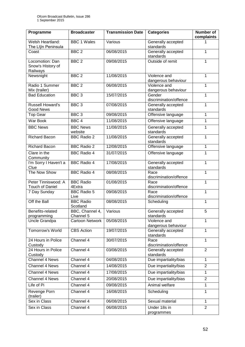| Programme                                     | <b>Broadcaster</b>           | <b>Transmission Date</b> | <b>Categories</b>                   | Number of<br>complaints |
|-----------------------------------------------|------------------------------|--------------------------|-------------------------------------|-------------------------|
| Welsh Heartland:<br>The Llŷn Peninsula        | <b>BBC 1 Wales</b>           | Various                  | Generally accepted<br>standards     | 1                       |
| Coast                                         | BBC <sub>2</sub>             | 06/08/2015               | Generally accepted<br>standards     | $\mathbf{1}$            |
| Locomotion: Dan                               | BBC <sub>2</sub>             | 09/08/2015               | Outside of remit                    | 1                       |
| Snow's History of<br>Railways                 |                              |                          |                                     |                         |
| Newsnight                                     | BBC <sub>2</sub>             | 11/08/2015               | Violence and<br>dangerous behaviour | 1                       |
| Radio 1 Summer<br>Mix (trailer)               | BBC <sub>2</sub>             | 06/08/2015               | Violence and<br>dangerous behaviour | 1                       |
| <b>Bad Education</b>                          | BBC <sub>3</sub>             | 15/07/2015               | Gender<br>discrimination/offence    | $\overline{1}$          |
| <b>Russell Howard's</b><br><b>Good News</b>   | BBC <sub>3</sub>             | 07/08/2015               | Generally accepted<br>standards     | $\mathbf{1}$            |
| <b>Top Gear</b>                               | BBC <sub>3</sub>             | 09/08/2015               | Offensive language                  | $\mathbf{1}$            |
| <b>War Book</b>                               | BBC <sub>4</sub>             | 11/08/2015               | Offensive language                  | $\mathbf{1}$            |
| <b>BBC News</b>                               | <b>BBC News</b><br>website   | 11/08/2015               | Generally accepted<br>standards     | $\mathbf{1}$            |
| <b>Richard Bacon</b>                          | <b>BBC Radio 2</b>           | 11/08/2015               | Generally accepted<br>standards     | 1                       |
| Richard Bacon                                 | <b>BBC Radio 2</b>           | 12/08/2015               | Offensive language                  | $\mathbf{1}$            |
| Clare in the<br>Community                     | <b>BBC Radio 4</b>           | 31/07/2015               | Offensive language                  | $\mathbf{1}$            |
| I'm Sorry I Haven't a<br>Clue                 | <b>BBC Radio 4</b>           | 17/08/2015               | Generally accepted<br>standards     | $\mathbf{1}$            |
| The Now Show                                  | <b>BBC Radio 4</b>           | 08/08/2015               | Race<br>discrimination/offence      | $\overline{1}$          |
| Peter Tinniswood: A<br><b>Touch of Daniel</b> | <b>BBC Radio</b><br>4Extra   | 01/08/2015               | Race<br>discrimination/offence      | 1                       |
| 7 Day Sunday                                  | <b>BBC Radio 5</b><br>Live   | 09/08/2015               | Race<br>discrimination/offence      | $\mathbf{1}$            |
| Off the Ball                                  | <b>BBC Radio</b><br>Scotland | 08/08/2015               | Scheduling                          | $\overline{1}$          |
| Benefits-related<br>programming               | BBC, Channel 4,<br>Channel 5 | Various                  | Generally accepted<br>standards     | 5                       |
| Uncle Grandpa                                 | <b>Cartoon Network</b>       | 05/08/2015               | Violence and<br>dangerous behaviour | 1                       |
| Tomorrow's World                              | <b>CBS</b> Action            | 19/07/2015               | Generally accepted<br>standards     | $\mathbf{1}$            |
| 24 Hours in Police<br>Custody                 | Channel 4                    | 30/07/2015               | Race<br>discrimination/offence      | $\mathbf{1}$            |
| 24 Hours in Police<br>Custody                 | Channel 4                    | 03/08/2015               | Generally accepted<br>standards     | $\overline{2}$          |
| Channel 4 News                                | Channel 4                    | 04/08/2015               | Due impartiality/bias               | $\mathbf{1}$            |
| <b>Channel 4 News</b>                         | Channel 4                    | 14/08/2015               | Due impartiality/bias               | $\overline{2}$          |
| Channel 4 News                                | Channel 4                    | 17/08/2015               | Due impartiality/bias               | 1                       |
| Channel 4 News                                | Channel 4                    | 20/08/2015               | Due impartiality/bias               | $\overline{2}$          |
| Life of Pi                                    | Channel 4                    | 09/08/2015               | Animal welfare                      | 1                       |
| Revenge Porn<br>(trailer)                     | Channel 4                    | 16/08/2015               | Scheduling                          | 1                       |
| Sex in Class                                  | Channel 4                    | 06/08/2015               | Sexual material                     | $\mathbf{1}$            |
| Sex in Class                                  | Channel 4                    | 06/08/2015               | Under 18s in<br>programmes          | $\overline{2}$          |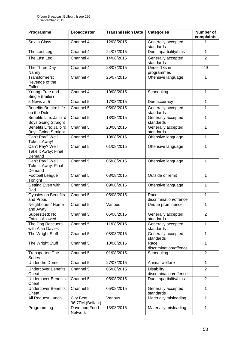| Programme                                                    | <b>Broadcaster</b>            | <b>Transmission Date</b> | <b>Categories</b>                           | <b>Number of</b><br>complaints |
|--------------------------------------------------------------|-------------------------------|--------------------------|---------------------------------------------|--------------------------------|
| Sex in Class                                                 | Channel 4                     | 12/08/2015               | Generally accepted<br>standards             |                                |
| The Last Leg                                                 | Channel 4                     | 24/07/2015               | Due impartiality/bias                       | $\mathbf{1}$                   |
| The Last Leg                                                 | Channel 4                     | 14/08/2015               | Generally accepted<br>standards             | $\overline{2}$                 |
| The Three Day<br>Nanny                                       | Channel 4                     | 28/07/2015               | Under 18s in<br>programmes                  | 49                             |
| Transformers:<br>Revenge of the<br>Fallen                    | Channel 4                     | 26/07/2015               | Offensive language                          | 1                              |
| Young, Free and<br>Single (trailer)                          | Channel 4                     | 10/08/2015               | Scheduling                                  | $\mathbf{1}$                   |
| 5 News at 5                                                  | Channel 5                     | 17/08/2015               | Due accuracy                                | 1                              |
| <b>Benefits Britain: Life</b><br>on the Dole                 | Channel 5                     | 05/08/2015               | Generally accepted<br>standards             | $\mathbf{1}$                   |
| <b>Benefits Life: Jailbird</b><br><b>Boys Going Straight</b> | Channel 5                     | 18/08/2015               | Generally accepted<br>standards             | $\mathbf{1}$                   |
| <b>Benefits Life: Jailbird</b><br><b>Boys Going Straight</b> | Channel 5                     | 20/08/2015               | Generally accepted<br>standards             | $\mathbf{1}$                   |
| Can't Pay? We'll<br>Take it Away!                            | Channel 5                     | 19/08/2015               | Offensive language                          | 1                              |
| Can't Pay? We'll<br>Take it Away: Final<br>Demand            | Channel 5                     | 01/08/2015               | Offensive language                          | 1                              |
| Can't Pay? We'll<br>Take it Away: Final<br>Demand            | Channel 5                     | 05/08/2015               | Offensive language                          | 1                              |
| Football League<br>Tonight                                   | Channel 5                     | 08/08/2015               | Outside of remit                            | $\mathbf{1}$                   |
| Getting Even with<br>Dad                                     | Channel 5                     | 09/08/2015               | Offensive language                          | $\mathbf{1}$                   |
| Gypsies on Benefits<br>and Proud                             | Channel 5                     | 05/08/2015               | Race<br>discrimination/offence              | 1                              |
| Neighbours / Home<br>and Away                                | Channel 5                     | Various                  | Undue prominence                            | $\mathbf{1}$                   |
| Supersized: No<br><b>Fatties Allowed</b>                     | Channel 5                     | 06/08/2015               | Generally accepted<br>standards             | $\overline{2}$                 |
| The Dog Rescuers<br>with Alan Davies                         | Channel 5                     | 11/08/2015               | Generally accepted<br>standards             | 1                              |
| The Wright Stuff                                             | Channel 5                     | 08/08/2015               | Generally accepted<br>standards             | $\mathbf{1}$                   |
| The Wright Stuff                                             | Channel 5                     | 10/08/2015               | Race<br>discrimination/offence              | 1                              |
| Transporter: The<br><b>Series</b>                            | Channel 5                     | 01/08/2015               | Scheduling                                  | $\overline{2}$                 |
| Under the Dome                                               | Channel 5                     | 27/07/2015               | Animal welfare                              | $\mathbf{1}$                   |
| <b>Undercover Benefits</b><br>Cheat                          | Channel $\overline{5}$        | 05/08/2015               | <b>Disability</b><br>discrimination/offence | $\overline{2}$                 |
| <b>Undercover Benefits</b><br>Cheat                          | Channel $\overline{5}$        | 05/08/2015               | Due impartiality/bias                       | $\overline{2}$                 |
| Undercover Benefits<br>Cheat                                 | Channel 5                     | 05/08/2015               | Generally accepted<br>standards             | 1                              |
| All Request Lunch                                            | City Beat<br>96.7FM (Belfast) | Various                  | Materially misleading                       | $\mathbf{1}$                   |
| Programming                                                  | Dave and Food<br>Network      | 13/08/2015               | Materially misleading                       | $\mathbf{1}$                   |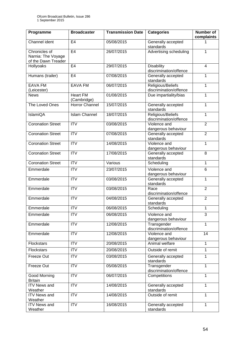| Programme                                                  | <b>Broadcaster</b>             | <b>Transmission Date</b> | <b>Categories</b>                           | <b>Number of</b><br>complaints |
|------------------------------------------------------------|--------------------------------|--------------------------|---------------------------------------------|--------------------------------|
| Channel ident                                              | E <sub>4</sub>                 | 05/08/2015               | Generally accepted<br>standards             |                                |
| Chronicles of<br>Narnia: The Voyage<br>of the Dawn Treader | E <sub>4</sub>                 | 26/07/2015               | Advertising scheduling                      | $\mathbf{1}$                   |
| Hollyoaks                                                  | E <sub>4</sub>                 | 29/07/2015               | <b>Disability</b><br>discrimination/offence | 4                              |
| Humans (trailer)                                           | E4                             | 07/08/2015               | Generally accepted<br>standards             | $\mathbf{1}$                   |
| <b>EAVA FM</b><br>(Leicester)                              | <b>EAVA FM</b>                 | 06/07/2015               | Religious/Beliefs<br>discrimination/offence | $\mathbf{1}$                   |
| <b>News</b>                                                | <b>Heart FM</b><br>(Cambridge) | 01/08/2015               | Due impartiality/bias                       | $\mathbf{1}$                   |
| The Loved Ones                                             | Horror Channel                 | 15/07/2015               | Generally accepted<br>standards             | $\mathbf{1}$                   |
| IslamiQA                                                   | <b>Islam Channel</b>           | 18/07/2015               | Religious/Beliefs<br>discrimination/offence | $\mathbf{1}$                   |
| <b>Coronation Street</b>                                   | $\overline{IV}$                | 03/08/2015               | Violence and<br>dangerous behaviour         | $\overline{2}$                 |
| <b>Coronation Street</b>                                   | ITV                            | 07/08/2015               | Generally accepted<br>standards             | $\overline{2}$                 |
| <b>Coronation Street</b>                                   | $\overline{IV}$                | 14/08/2015               | Violence and<br>dangerous behaviour         | $\mathbf{1}$                   |
| <b>Coronation Street</b>                                   | <b>ITV</b>                     | 17/08/2015               | Generally accepted<br>standards             | 8                              |
| <b>Coronation Street</b>                                   | <b>ITV</b>                     | Various                  | Scheduling                                  | $\mathbf{1}$                   |
| Emmerdale                                                  | ITV                            | 23/07/2015               | Violence and<br>dangerous behaviour         | 6                              |
| Emmerdale                                                  | <b>ITV</b>                     | 03/08/2015               | Generally accepted<br>standards             | $\mathbf{1}$                   |
| Emmerdale                                                  | <b>ITV</b>                     | 03/08/2015               | Race<br>discrimination/offence              | $\overline{2}$                 |
| Emmerdale                                                  | <b>ITV</b>                     | 04/08/2015               | Generally accepted<br>standards             | $\overline{2}$                 |
| Emmerdale                                                  | <b>ITV</b>                     | 06/08/2015               | Scheduling                                  | 1                              |
| Emmerdale                                                  | $\overline{IV}$                | 06/08/2015               | Violence and<br>dangerous behaviour         | 3                              |
| Emmerdale                                                  | ITV                            | 12/08/2015               | Transgender<br>discrimination/offence       | $\mathbf{1}$                   |
| Emmerdale                                                  | <b>ITV</b>                     | 12/08/2015               | Violence and<br>dangerous behaviour         | 14                             |
| Flockstars                                                 | <b>ITV</b>                     | 20/08/2015               | Animal welfare                              | $\mathbf{1}$                   |
| Flockstars                                                 | <b>ITV</b>                     | 20/08/2015               | Outside of remit                            | $\overline{1}$                 |
| Freeze Out                                                 | <b>ITV</b>                     | 03/08/2015               | Generally accepted<br>standards             | 1                              |
| Freeze Out                                                 | <b>ITV</b>                     | 05/08/2015               | Transgender<br>discrimination/offence       | $\mathbf{1}$                   |
| Good Morning<br><b>Britain</b>                             | <b>ITV</b>                     | 06/07/2015               | Competitions                                | $\mathbf{1}$                   |
| <b>ITV News and</b><br>Weather                             | <b>ITV</b>                     | 14/08/2015               | Generally accepted<br>standards             | 1                              |
| <b>ITV News and</b><br>Weather                             | $\overline{ITV}$               | 14/08/2015               | Outside of remit                            | $\mathbf{1}$                   |
| <b>ITV News and</b><br>Weather                             | <b>ITV</b>                     | 16/08/2015               | Generally accepted<br>standards             | $\mathbf{1}$                   |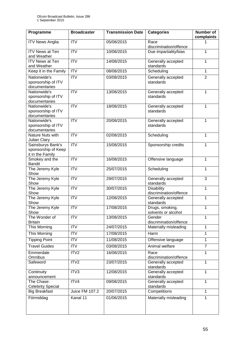| Programme                                                    | <b>Broadcaster</b>      | <b>Transmission Date</b> | <b>Categories</b>                                         | Number of<br>complaints |
|--------------------------------------------------------------|-------------------------|--------------------------|-----------------------------------------------------------|-------------------------|
| <b>ITV News Anglia</b>                                       | <b>ITV</b>              | 05/08/2015               | Race<br>discrimination/offence                            | 1                       |
| <b>ITV News at Ten</b><br>and Weather                        | <b>ITV</b>              | 10/08/2015               | Due impartiality/bias                                     | $\mathbf{1}$            |
| <b>ITV News at Ten</b><br>and Weather                        | $\overline{\text{IV}}$  | 14/08/2015               | Generally accepted<br>standards                           | $\mathbf{1}$            |
| Keep it in the Family                                        | ITV                     | 08/08/2015               | Scheduling                                                | $\mathbf{1}$            |
| Nationwide's<br>sponsorship of ITV<br>documentaries          | $\overline{\text{ITV}}$ | 03/08/2015               | Generally accepted<br>standards                           | $\overline{2}$          |
| Nationwide's<br>sponsorship of ITV<br>documentaries          | <b>ITV</b>              | 13/08/2015               | Generally accepted<br>standards                           | $\mathbf{1}$            |
| Nationwide's<br>sponsorship of ITV<br>documentaries          | <b>ITV</b>              | 18/08/2015               | Generally accepted<br>standards                           | 1                       |
| Nationwide's<br>sponsorship of ITV<br>documentaries          | <b>ITV</b>              | 20/08/2015               | Generally accepted<br>standards                           | $\mathbf{1}$            |
| Nature Nuts with<br>Julian Clary                             | <b>ITV</b>              | 02/08/2015               | Scheduling                                                | $\mathbf{1}$            |
| Sainsburys Bank's<br>sponsorship of Keep<br>it in the Family | ITV                     | 15/08/2015               | Sponsorship credits                                       | 1                       |
| Smokey and the<br><b>Bandit</b>                              | <b>ITV</b>              | 16/08/2015               | Offensive language                                        | $\mathbf{1}$            |
| The Jeremy Kyle<br>Show                                      | $\overline{IV}$         | 25/07/2015               | Scheduling                                                | $\mathbf{1}$            |
| The Jeremy Kyle<br>Show                                      | $\overline{\text{IV}}$  | 29/07/2015               | Generally accepted<br>standards                           | 3                       |
| The Jeremy Kyle<br>Show                                      | ITV                     | 30/07/2015               | <b>Disability</b><br>discrimination/offence               | $\overline{1}$          |
| The Jeremy Kyle<br>Show                                      | <b>ITV</b>              | 12/08/2015               | Generally accepted<br>standards                           | $\mathbf{1}$            |
| The Jeremy Kyle<br>Show                                      | <b>ITV</b>              | 17/08/2015               | Drugs, smoking,<br>solvents or alcohol                    | 1                       |
| The Wonder of<br><b>Britain</b>                              | <b>ITV</b>              | 13/08/2015               | Gender<br>discrimination/offence                          | 1                       |
| This Morning                                                 | <b>ITV</b>              | 24/07/2015               | Materially misleading                                     | 1                       |
| <b>This Morning</b>                                          | $\overline{IV}$         | 17/08/2015               | Harm                                                      | $\mathbf{1}$            |
| <b>Tipping Point</b>                                         | <b>ITV</b>              | 11/08/2015               | Offensive language                                        | $\mathbf{1}$            |
| <b>Travel Guides</b>                                         | <b>ITV</b>              | 03/08/2015               | Animal welfare                                            | $\overline{7}$          |
| Emmerdale                                                    | ITV2                    | 16/08/2015               | Race                                                      | $\mathbf{1}$            |
| Omnibus<br>Safeword                                          | ITV2                    | 23/07/2015               | discrimination/offence<br>Generally accepted<br>standards | $\mathbf{1}$            |
| Continuity<br>announcement                                   | ITV3                    | 12/08/2015               | Generally accepted<br>standards                           | 1                       |
| The Chase:<br><b>Celebrity Special</b>                       | ITV4                    | 09/08/2015               | Generally accepted<br>standards                           | $\mathbf{1}$            |
| <b>Big Breakfast</b>                                         | <b>Juice FM 107.2</b>   | 20/07/2015               | Competitions                                              | $\mathbf{1}$            |
| Förmiddag                                                    | Kanal 11                | 01/06/2015               | Materially misleading                                     | $\overline{1}$          |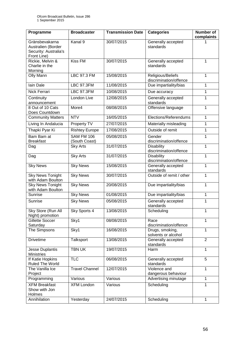| Programme                                                                    | <b>Broadcaster</b>          | <b>Transmission Date</b> | <b>Categories</b>                           | <b>Number of</b><br>complaints |
|------------------------------------------------------------------------------|-----------------------------|--------------------------|---------------------------------------------|--------------------------------|
| Gränsbevakarna<br>Australien (Border<br>Security: Australia's<br>Front Line) | Kanal 9                     | 30/07/2015               | Generally accepted<br>standards             |                                |
| Rickie, Melvin &<br>Charlie in the<br>Morning                                | Kiss FM                     | 30/07/2015               | Generally accepted<br>standards             | 1                              |
| Olly Mann                                                                    | <b>LBC 97.3 FM</b>          | 15/08/2015               | Religious/Beliefs<br>discrimination/offence | 1                              |
| lain Dale                                                                    | <b>LBC 97.3FM</b>           | 11/08/2015               | Due impartiality/bias                       | 1                              |
| Nick Ferrari                                                                 | <b>LBC 97.3FM</b>           | 10/08/2015               | Due accuracy                                | 1                              |
| Continuity<br>announcement                                                   | London Live                 | 12/08/2015               | Generally accepted<br>standards             | $\mathbf{1}$                   |
| 8 Out of 10 Cats<br>Does Countdown                                           | More4                       | 08/08/2015               | Offensive language                          | 1                              |
| <b>Community Matters</b>                                                     | <b>NTV</b>                  | 16/05/2015               | Elections/Referendums                       | 1                              |
| Living In Andalucia                                                          | Property TV                 | 27/07/2015               | Materially misleading                       | 1                              |
| Thapki Pyar Ki                                                               | <b>Rishtey Europe</b>       | 17/08/2015               | Outside of remit                            | $\mathbf{1}$                   |
| Bam Bam at<br><b>Breakfast</b>                                               | SAM FM 106<br>(South Coast) | 05/08/2015               | Gender<br>discrimination/offence            | 1                              |
| Dag                                                                          | <b>Sky Arts</b>             | 31/07/2015               | <b>Disability</b><br>discrimination/offence | $\mathbf{1}$                   |
| Dag                                                                          | <b>Sky Arts</b>             | 31/07/2015               | <b>Disability</b><br>discrimination/offence | 1                              |
| <b>Sky News</b>                                                              | <b>Sky News</b>             | 15/08/2015               | Generally accepted<br>standards             | $\mathbf{1}$                   |
| <b>Sky News Tonight</b><br>with Adam Boulton                                 | <b>Sky News</b>             | 30/07/2015               | Outside of remit / other                    | $\mathbf{1}$                   |
| <b>Sky News Tonight</b><br>with Adam Boulton                                 | <b>Sky News</b>             | 20/08/2015               | Due impartiality/bias                       | 1                              |
| Sunrise                                                                      | <b>Sky News</b>             | 01/08/2015               | Due impartiality/bias                       | 1                              |
| Sunrise                                                                      | <b>Sky News</b>             | 05/08/2015               | Generally accepted<br>standards             | $\mathbf{1}$                   |
| Sky Store (Run All<br>Night) promotion                                       | Sky Sports 4                | 13/08/2015               | Scheduling                                  | 1                              |
| Gillette Soccer<br>Saturday                                                  | Sky1                        | 08/08/2015               | Race<br>discrimination/offence              | 1                              |
| The Simpsons                                                                 | Sky1                        | 16/08/2015               | Drugs, smoking,<br>solvents or alcohol      | $\mathbf{1}$                   |
| <b>Drivetime</b>                                                             | Talksport                   | 13/08/2015               | Generally accepted<br>standards             | $\overline{2}$                 |
| Jesse Duplantis<br><b>Ministries</b>                                         | <b>TBN UK</b>               | 19/07/2015               | Harm                                        | $\mathbf{1}$                   |
| If Katie Hopkins<br>Ruled The World                                          | <b>TLC</b>                  | 06/08/2015               | Generally accepted<br>standards             | 5                              |
| The Vanilla Ice<br>Project                                                   | <b>Travel Channel</b>       | 12/07/2015               | Violence and<br>dangerous behaviour         | 1                              |
| Programming                                                                  | Various                     | Various                  | Advertising minutage                        | 1                              |
| <b>XFM Breakfast</b><br>Show with Jon<br>Holmes                              | <b>XFM London</b>           | Various                  | Scheduling                                  | $\mathbf{1}$                   |
| Annihilation                                                                 | Yesterday                   | 24/07/2015               | Scheduling                                  | $\mathbf{1}$                   |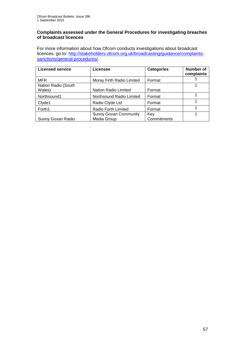#### **Complaints assessed under the General Procedures for investigating breaches of broadcast licences**

For more information about how Ofcom conducts investigations about broadcast licences, go to: [http://stakeholders.ofcom.org.uk/broadcasting/guidance/complaints](http://stakeholders.ofcom.org.uk/broadcasting/guidance/complaints-sanctions/general-procedures/)[sanctions/general-procedures/.](http://stakeholders.ofcom.org.uk/broadcasting/guidance/complaints-sanctions/general-procedures/)

| <b>Licensed service</b>       | Licensee                     | <b>Categories</b> | <b>Number of</b><br>complaints |
|-------------------------------|------------------------------|-------------------|--------------------------------|
| <b>MFR</b>                    | Moray Firth Radio Limited    | Format            |                                |
| Nation Radio (South<br>Wales) | Nation Radio Limited         | Format            |                                |
| Northsound1                   | Northsound Radio Limited     | Format            |                                |
| Clyde1                        | Radio Clyde Ltd              | Format            |                                |
| Forth1                        | Radio Forth Limited          | Format            |                                |
|                               | <b>Sunny Govan Community</b> | Key               |                                |
| Sunny Govan Radio             | Media Group                  | Commitments       |                                |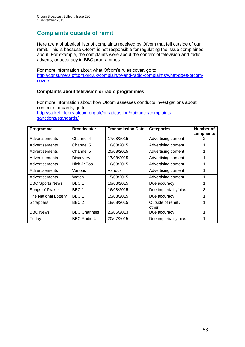# **Complaints outside of remit**

Here are alphabetical lists of complaints received by Ofcom that fell outside of our remit. This is because Ofcom is not responsible for regulating the issue complained about. For example, the complaints were about the content of television and radio adverts, or accuracy in BBC programmes.

For more information about what Ofcom's rules cover, go to: [http://consumers.ofcom.org.uk/complain/tv-and-radio-complaints/what-does-ofcom](http://consumers.ofcom.org.uk/complain/tv-and-radio-complaints/what-does-ofcom-cover/)[cover/](http://consumers.ofcom.org.uk/complain/tv-and-radio-complaints/what-does-ofcom-cover/)

#### **Complaints about television or radio programmes**

For more information about how Ofcom assesses conducts investigations about content standards, go to: [http://stakeholders.ofcom.org.uk/broadcasting/guidance/complaints](http://stakeholders.ofcom.org.uk/broadcasting/guidance/complaints-sanctions/standards/)[sanctions/standards/](http://stakeholders.ofcom.org.uk/broadcasting/guidance/complaints-sanctions/standards/)

| Programme              | <b>Broadcaster</b>  | <b>Transmission Date</b> | <b>Categories</b>           | <b>Number of</b><br>complaints |
|------------------------|---------------------|--------------------------|-----------------------------|--------------------------------|
| Advertisements         | Channel 4           | 17/08/2015               | Advertising content         | 2                              |
| Advertisements         | Channel 5           | 16/08/2015               | Advertising content         |                                |
| Advertisements         | Channel 5           | 20/08/2015               | Advertising content         |                                |
| Advertisements         | <b>Discovery</b>    | 17/08/2015               | Advertising content         |                                |
| Advertisements         | Nick Jr Too         | 16/08/2015               | Advertising content         |                                |
| Advertisements         | Various             | Various                  | Advertising content         | 1                              |
| Advertisements         | Watch               | 15/08/2015               | Advertising content         |                                |
| <b>BBC Sports News</b> | BBC 1               | 19/08/2015               | Due accuracy                |                                |
| Songs of Praise        | BBC 1               | 16/08/2015               | Due impartiality/bias       | 3                              |
| The National Lottery   | BBC 1               | 15/08/2015               | Due accuracy                | 1                              |
| Scrappers              | BBC <sub>2</sub>    | 18/08/2015               | Outside of remit /<br>other |                                |
| <b>BBC News</b>        | <b>BBC Channels</b> | 23/05/2013               | Due accuracy                | 1                              |
| Today                  | <b>BBC Radio 4</b>  | 20/07/2015               | Due impartiality/bias       |                                |